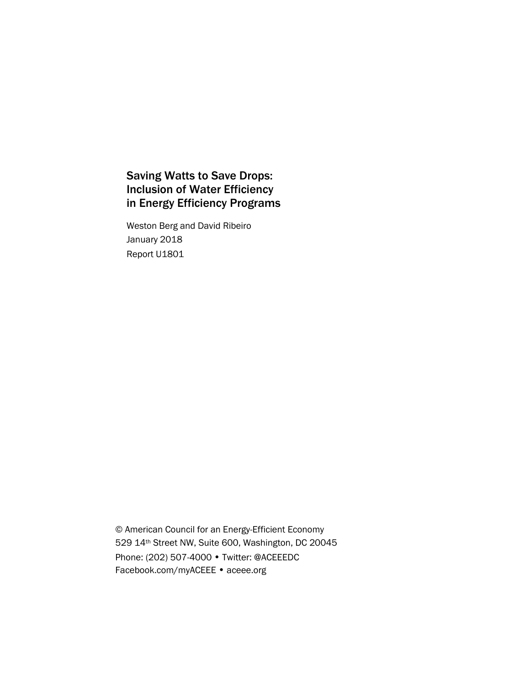# Saving Watts to Save Drops: Inclusion of Water Efficiency in Energy Efficiency Programs

Weston Berg and David Ribeiro January 2018 Report U1801

© American Council for an Energy-Efficient Economy 529 14th Street NW, Suite 600, Washington, DC 20045 Phone: (202) 507-4000 • Twitter: @ACEEEDC Facebook.com/myACEEE • aceee.org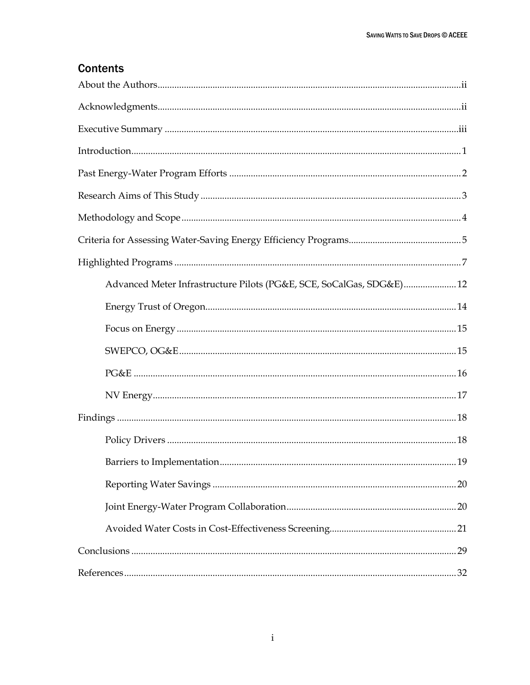# **Contents**

| Advanced Meter Infrastructure Pilots (PG&E, SCE, SoCalGas, SDG&E) 12 |  |
|----------------------------------------------------------------------|--|
|                                                                      |  |
|                                                                      |  |
|                                                                      |  |
|                                                                      |  |
|                                                                      |  |
|                                                                      |  |
|                                                                      |  |
|                                                                      |  |
|                                                                      |  |
|                                                                      |  |
|                                                                      |  |
|                                                                      |  |
|                                                                      |  |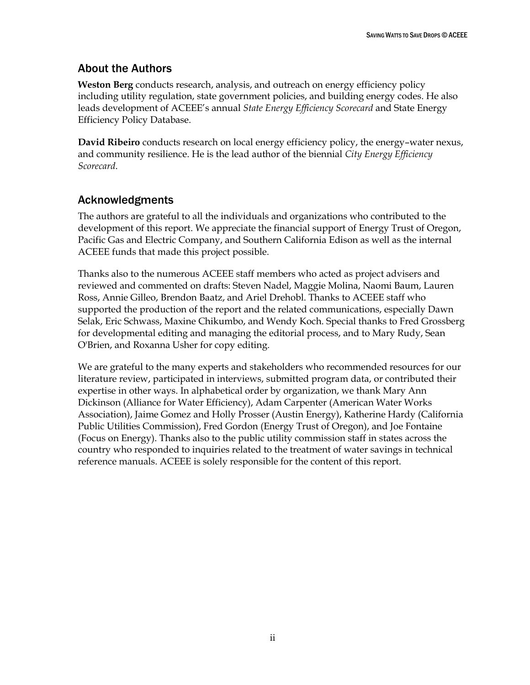## <span id="page-2-0"></span>About the Authors

**Weston Berg** conducts research, analysis, and outreach on energy efficiency policy including utility regulation, state government policies, and building energy codes. He also leads development of ACEEE's annual *State Energy Efficiency Scorecard* and State Energy Efficiency Policy Database.

**David Ribeiro** conducts research on local energy efficiency policy, the energy–water nexus, and community resilience. He is the lead author of the biennial *City Energy Efficiency Scorecard*.

# <span id="page-2-1"></span>Acknowledgments

The authors are grateful to all the individuals and organizations who contributed to the development of this report. We appreciate the financial support of Energy Trust of Oregon, Pacific Gas and Electric Company, and Southern California Edison as well as the internal ACEEE funds that made this project possible.

Thanks also to the numerous ACEEE staff members who acted as project advisers and reviewed and commented on drafts: Steven Nadel, Maggie Molina, Naomi Baum, Lauren Ross, Annie Gilleo, Brendon Baatz, and Ariel Drehobl. Thanks to ACEEE staff who supported the production of the report and the related communications, especially Dawn Selak, Eric Schwass, Maxine Chikumbo, and Wendy Koch. Special thanks to Fred Grossberg for developmental editing and managing the editorial process, and to Mary Rudy, Sean O'Brien, and Roxanna Usher for copy editing.

We are grateful to the many experts and stakeholders who recommended resources for our literature review, participated in interviews, submitted program data, or contributed their expertise in other ways. In alphabetical order by organization, we thank Mary Ann Dickinson (Alliance for Water Efficiency), Adam Carpenter (American Water Works Association), Jaime Gomez and Holly Prosser (Austin Energy), Katherine Hardy (California Public Utilities Commission), Fred Gordon (Energy Trust of Oregon), and Joe Fontaine (Focus on Energy). Thanks also to the public utility commission staff in states across the country who responded to inquiries related to the treatment of water savings in technical reference manuals. ACEEE is solely responsible for the content of this report.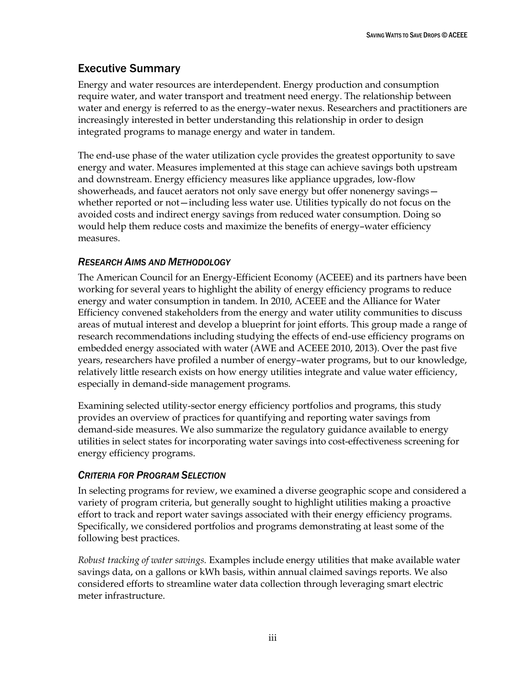# <span id="page-3-0"></span>Executive Summary

Energy and water resources are interdependent. Energy production and consumption require water, and water transport and treatment need energy. The relationship between water and energy is referred to as the energy–water nexus. Researchers and practitioners are increasingly interested in better understanding this relationship in order to design integrated programs to manage energy and water in tandem.

The end-use phase of the water utilization cycle provides the greatest opportunity to save energy and water. Measures implemented at this stage can achieve savings both upstream and downstream. Energy efficiency measures like appliance upgrades, low-flow showerheads, and faucet aerators not only save energy but offer nonenergy savings whether reported or not—including less water use. Utilities typically do not focus on the avoided costs and indirect energy savings from reduced water consumption. Doing so would help them reduce costs and maximize the benefits of energy–water efficiency measures.

### *RESEARCH AIMS AND METHODOLOGY*

The American Council for an Energy-Efficient Economy (ACEEE) and its partners have been working for several years to highlight the ability of energy efficiency programs to reduce energy and water consumption in tandem. In 2010, ACEEE and the Alliance for Water Efficiency convened stakeholders from the energy and water utility communities to discuss areas of mutual interest and develop a blueprint for joint efforts. This group made a range of research recommendations including studying the effects of end-use efficiency programs on embedded energy associated with water (AWE and ACEEE 2010, 2013). Over the past five years, researchers have profiled a number of energy–water programs, but to our knowledge, relatively little research exists on how energy utilities integrate and value water efficiency, especially in demand-side management programs.

Examining selected utility-sector energy efficiency portfolios and programs, this study provides an overview of practices for quantifying and reporting water savings from demand-side measures. We also summarize the regulatory guidance available to energy utilities in select states for incorporating water savings into cost-effectiveness screening for energy efficiency programs.

### *CRITERIA FOR PROGRAM SELECTION*

In selecting programs for review, we examined a diverse geographic scope and considered a variety of program criteria, but generally sought to highlight utilities making a proactive effort to track and report water savings associated with their energy efficiency programs. Specifically, we considered portfolios and programs demonstrating at least some of the following best practices.

*Robust tracking of water savings.* Examples include energy utilities that make available water savings data, on a gallons or kWh basis, within annual claimed savings reports. We also considered efforts to streamline water data collection through leveraging smart electric meter infrastructure.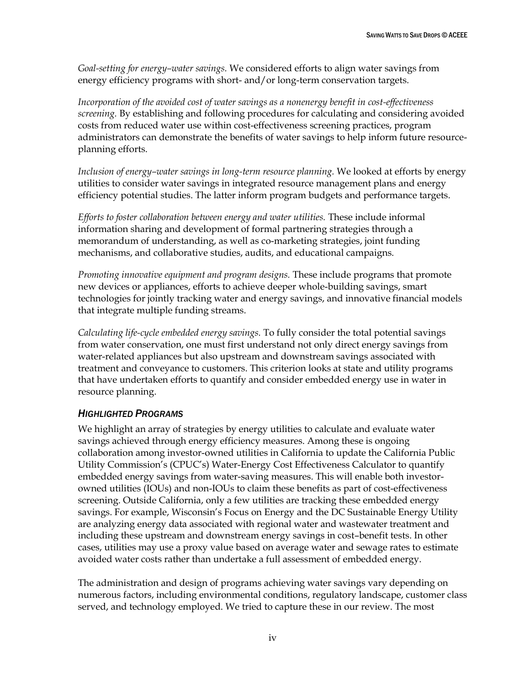*Goal-setting for energy–water savings.* We considered efforts to align water savings from energy efficiency programs with short- and/or long-term conservation targets.

*Incorporation of the avoided cost of water savings as a nonenergy benefit in cost-effectiveness screening.* By establishing and following procedures for calculating and considering avoided costs from reduced water use within cost-effectiveness screening practices, program administrators can demonstrate the benefits of water savings to help inform future resourceplanning efforts.

*Inclusion of energy–water savings in long-term resource planning.* We looked at efforts by energy utilities to consider water savings in integrated resource management plans and energy efficiency potential studies. The latter inform program budgets and performance targets.

*Efforts to foster collaboration between energy and water utilities.* These include informal information sharing and development of formal partnering strategies through a memorandum of understanding, as well as co-marketing strategies, joint funding mechanisms, and collaborative studies, audits, and educational campaigns.

*Promoting innovative equipment and program designs.* These include programs that promote new devices or appliances, efforts to achieve deeper whole-building savings, smart technologies for jointly tracking water and energy savings, and innovative financial models that integrate multiple funding streams.

*Calculating life-cycle embedded energy savings.* To fully consider the total potential savings from water conservation, one must first understand not only direct energy savings from water-related appliances but also upstream and downstream savings associated with treatment and conveyance to customers. This criterion looks at state and utility programs that have undertaken efforts to quantify and consider embedded energy use in water in resource planning.

### *HIGHLIGHTED PROGRAMS*

We highlight an array of strategies by energy utilities to calculate and evaluate water savings achieved through energy efficiency measures. Among these is ongoing collaboration among investor-owned utilities in California to update the California Public Utility Commission's (CPUC's) Water-Energy Cost Effectiveness Calculator to quantify embedded energy savings from water-saving measures. This will enable both investorowned utilities (IOUs) and non-IOUs to claim these benefits as part of cost-effectiveness screening. Outside California, only a few utilities are tracking these embedded energy savings. For example, Wisconsin's Focus on Energy and the DC Sustainable Energy Utility are analyzing energy data associated with regional water and wastewater treatment and including these upstream and downstream energy savings in cost–benefit tests. In other cases, utilities may use a proxy value based on average water and sewage rates to estimate avoided water costs rather than undertake a full assessment of embedded energy.

The administration and design of programs achieving water savings vary depending on numerous factors, including environmental conditions, regulatory landscape, customer class served, and technology employed. We tried to capture these in our review. The most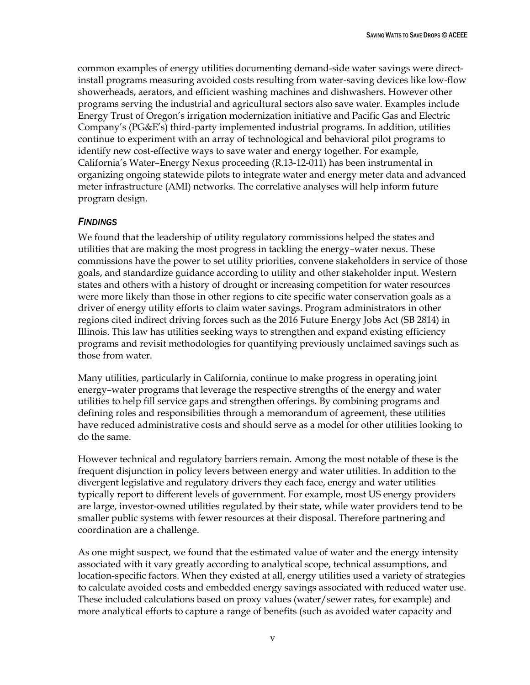common examples of energy utilities documenting demand-side water savings were directinstall programs measuring avoided costs resulting from water-saving devices like low-flow showerheads, aerators, and efficient washing machines and dishwashers. However other programs serving the industrial and agricultural sectors also save water. Examples include Energy Trust of Oregon's irrigation modernization initiative and Pacific Gas and Electric Company's (PG&E's) third-party implemented industrial programs. In addition, utilities continue to experiment with an array of technological and behavioral pilot programs to identify new cost-effective ways to save water and energy together. For example, California's Water–Energy Nexus proceeding (R.13-12-011) has been instrumental in organizing ongoing statewide pilots to integrate water and energy meter data and advanced meter infrastructure (AMI) networks. The correlative analyses will help inform future program design.

#### *FINDINGS*

We found that the leadership of utility regulatory commissions helped the states and utilities that are making the most progress in tackling the energy–water nexus. These commissions have the power to set utility priorities, convene stakeholders in service of those goals, and standardize guidance according to utility and other stakeholder input. Western states and others with a history of drought or increasing competition for water resources were more likely than those in other regions to cite specific water conservation goals as a driver of energy utility efforts to claim water savings. Program administrators in other regions cited indirect driving forces such as the 2016 Future Energy Jobs Act (SB 2814) in Illinois. This law has utilities seeking ways to strengthen and expand existing efficiency programs and revisit methodologies for quantifying previously unclaimed savings such as those from water.

Many utilities, particularly in California, continue to make progress in operating joint energy–water programs that leverage the respective strengths of the energy and water utilities to help fill service gaps and strengthen offerings. By combining programs and defining roles and responsibilities through a memorandum of agreement, these utilities have reduced administrative costs and should serve as a model for other utilities looking to do the same.

However technical and regulatory barriers remain. Among the most notable of these is the frequent disjunction in policy levers between energy and water utilities. In addition to the divergent legislative and regulatory drivers they each face, energy and water utilities typically report to different levels of government. For example, most US energy providers are large, investor-owned utilities regulated by their state, while water providers tend to be smaller public systems with fewer resources at their disposal. Therefore partnering and coordination are a challenge.

As one might suspect, we found that the estimated value of water and the energy intensity associated with it vary greatly according to analytical scope, technical assumptions, and location-specific factors. When they existed at all, energy utilities used a variety of strategies to calculate avoided costs and embedded energy savings associated with reduced water use. These included calculations based on proxy values (water/sewer rates, for example) and more analytical efforts to capture a range of benefits (such as avoided water capacity and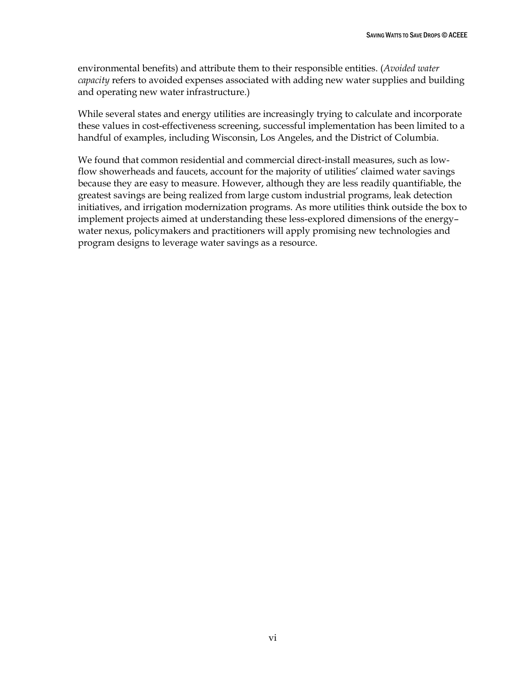environmental benefits) and attribute them to their responsible entities. (*Avoided water capacity* refers to avoided expenses associated with adding new water supplies and building and operating new water infrastructure.)

While several states and energy utilities are increasingly trying to calculate and incorporate these values in cost-effectiveness screening, successful implementation has been limited to a handful of examples, including Wisconsin, Los Angeles, and the District of Columbia.

We found that common residential and commercial direct-install measures, such as lowflow showerheads and faucets, account for the majority of utilities' claimed water savings because they are easy to measure. However, although they are less readily quantifiable, the greatest savings are being realized from large custom industrial programs, leak detection initiatives, and irrigation modernization programs. As more utilities think outside the box to implement projects aimed at understanding these less-explored dimensions of the energy– water nexus, policymakers and practitioners will apply promising new technologies and program designs to leverage water savings as a resource.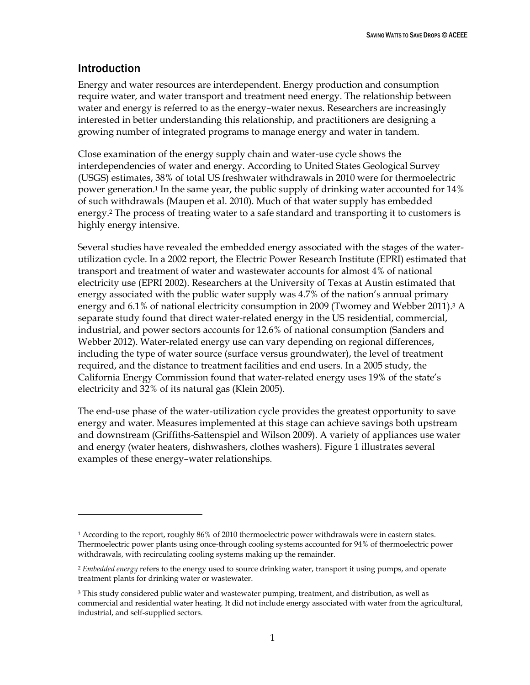## <span id="page-7-0"></span>Introduction

 $\overline{a}$ 

Energy and water resources are interdependent. Energy production and consumption require water, and water transport and treatment need energy. The relationship between water and energy is referred to as the energy–water nexus. Researchers are increasingly interested in better understanding this relationship, and practitioners are designing a growing number of integrated programs to manage energy and water in tandem.

Close examination of the energy supply chain and water-use cycle shows the interdependencies of water and energy. According to United States Geological Survey (USGS) estimates, 38% of total US freshwater withdrawals in 2010 were for thermoelectric power generation.<sup>1</sup> In the same year, the public supply of drinking water accounted for 14% of such withdrawals (Maupen et al. 2010). Much of that water supply has embedded energy.<sup>2</sup> The process of treating water to a safe standard and transporting it to customers is highly energy intensive.

Several studies have revealed the embedded energy associated with the stages of the waterutilization cycle. In a 2002 report, the Electric Power Research Institute (EPRI) estimated that transport and treatment of water and wastewater accounts for almost 4% of national electricity use (EPRI 2002). Researchers at the University of Texas at Austin estimated that energy associated with the public water supply was 4.7% of the nation's annual primary energy and 6.1% of national electricity consumption in 2009 (Twomey and Webber 2011).<sup>3</sup> A separate study found that direct water-related energy in the US residential, commercial, industrial, and power sectors accounts for 12.6% of national consumption (Sanders and Webber 2012). Water-related energy use can vary depending on regional differences, including the type of water source (surface versus groundwater), the level of treatment required, and the distance to treatment facilities and end users. In a 2005 study, the California Energy Commission found that water-related energy uses 19% of the state's electricity and 32% of its natural gas (Klein 2005).

The end-use phase of the water-utilization cycle provides the greatest opportunity to save energy and water. Measures implemented at this stage can achieve savings both upstream and downstream (Griffiths-Sattenspiel and Wilson 2009). A variety of appliances use water and energy (water heaters, dishwashers, clothes washers). Figure 1 illustrates several examples of these energy–water relationships.

<sup>&</sup>lt;sup>1</sup> According to the report, roughly 86% of 2010 thermoelectric power withdrawals were in eastern states. Thermoelectric power plants using once-through cooling systems accounted for 94% of thermoelectric power withdrawals, with recirculating cooling systems making up the remainder.

<sup>2</sup> *Embedded energy* refers to the energy used to source drinking water, transport it using pumps, and operate treatment plants for drinking water or wastewater.

 $3$  This study considered public water and wastewater pumping, treatment, and distribution, as well as commercial and residential water heating. It did not include energy associated with water from the agricultural, industrial, and self-supplied sectors.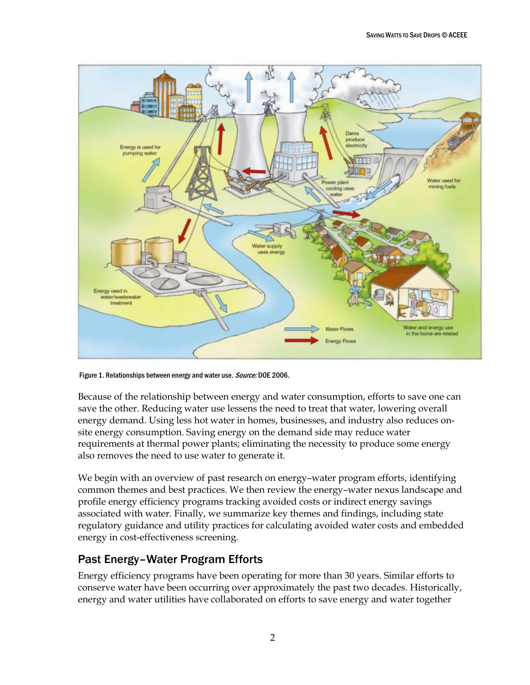

Figure 1. Relationships between energy and water use. Source: DOE 2006.

Because of the relationship between energy and water consumption, efforts to save one can save the other. Reducing water use lessens the need to treat that water, lowering overall energy demand. Using less hot water in homes, businesses, and industry also reduces onsite energy consumption. Saving energy on the demand side may reduce water requirements at thermal power plants; eliminating the necessity to produce some energy also removes the need to use water to generate it.

We begin with an overview of past research on energy–water program efforts, identifying common themes and best practices. We then review the energy–water nexus landscape and profile energy efficiency programs tracking avoided costs or indirect energy savings associated with water. Finally, we summarize key themes and findings, including state regulatory guidance and utility practices for calculating avoided water costs and embedded energy in cost-effectiveness screening.

## <span id="page-8-0"></span>Past Energy–Water Program Efforts

Energy efficiency programs have been operating for more than 30 years. Similar efforts to conserve water have been occurring over approximately the past two decades. Historically, energy and water utilities have collaborated on efforts to save energy and water together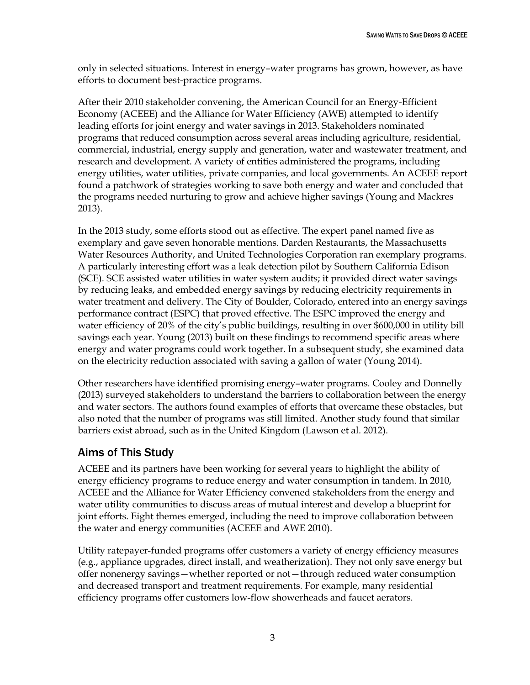only in selected situations. Interest in energy–water programs has grown, however, as have efforts to document best-practice programs.

After their 2010 stakeholder convening, the American Council for an Energy-Efficient Economy (ACEEE) and the Alliance for Water Efficiency (AWE) attempted to identify leading efforts for joint energy and water savings in 2013. Stakeholders nominated programs that reduced consumption across several areas including agriculture, residential, commercial, industrial, energy supply and generation, water and wastewater treatment, and research and development. A variety of entities administered the programs, including energy utilities, water utilities, private companies, and local governments. An ACEEE report found a patchwork of strategies working to save both energy and water and concluded that the programs needed nurturing to grow and achieve higher savings (Young and Mackres 2013).

In the 2013 study, some efforts stood out as effective. The expert panel named five as exemplary and gave seven honorable mentions. Darden Restaurants, the Massachusetts Water Resources Authority, and United Technologies Corporation ran exemplary programs. A particularly interesting effort was a leak detection pilot by Southern California Edison (SCE). SCE assisted water utilities in water system audits; it provided direct water savings by reducing leaks, and embedded energy savings by reducing electricity requirements in water treatment and delivery. The City of Boulder, Colorado, entered into an energy savings performance contract (ESPC) that proved effective. The ESPC improved the energy and water efficiency of 20% of the city's public buildings, resulting in over \$600,000 in utility bill savings each year. Young (2013) built on these findings to recommend specific areas where energy and water programs could work together. In a subsequent study, she examined data on the electricity reduction associated with saving a gallon of water (Young 2014).

Other researchers have identified promising energy–water programs. Cooley and Donnelly (2013) surveyed stakeholders to understand the barriers to collaboration between the energy and water sectors. The authors found examples of efforts that overcame these obstacles, but also noted that the number of programs was still limited. Another study found that similar barriers exist abroad, such as in the United Kingdom (Lawson et al. 2012).

# <span id="page-9-0"></span>Aims of This Study

ACEEE and its partners have been working for several years to highlight the ability of energy efficiency programs to reduce energy and water consumption in tandem. In 2010, ACEEE and the Alliance for Water Efficiency convened stakeholders from the energy and water utility communities to discuss areas of mutual interest and develop a blueprint for joint efforts. Eight themes emerged, including the need to improve collaboration between the water and energy communities (ACEEE and AWE 2010).

Utility ratepayer-funded programs offer customers a variety of energy efficiency measures (e.g., appliance upgrades, direct install, and weatherization). They not only save energy but offer nonenergy savings—whether reported or not—through reduced water consumption and decreased transport and treatment requirements. For example, many residential efficiency programs offer customers low-flow showerheads and faucet aerators.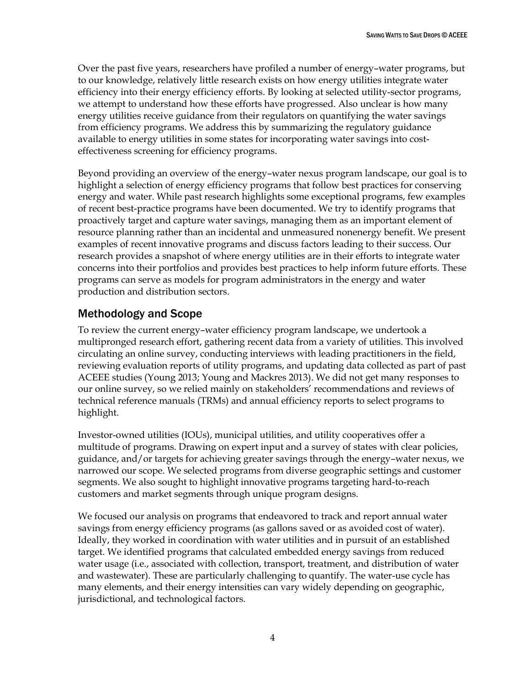Over the past five years, researchers have profiled a number of energy–water programs, but to our knowledge, relatively little research exists on how energy utilities integrate water efficiency into their energy efficiency efforts. By looking at selected utility-sector programs, we attempt to understand how these efforts have progressed. Also unclear is how many energy utilities receive guidance from their regulators on quantifying the water savings from efficiency programs. We address this by summarizing the regulatory guidance available to energy utilities in some states for incorporating water savings into costeffectiveness screening for efficiency programs.

Beyond providing an overview of the energy–water nexus program landscape, our goal is to highlight a selection of energy efficiency programs that follow best practices for conserving energy and water. While past research highlights some exceptional programs, few examples of recent best-practice programs have been documented. We try to identify programs that proactively target and capture water savings, managing them as an important element of resource planning rather than an incidental and unmeasured nonenergy benefit. We present examples of recent innovative programs and discuss factors leading to their success. Our research provides a snapshot of where energy utilities are in their efforts to integrate water concerns into their portfolios and provides best practices to help inform future efforts. These programs can serve as models for program administrators in the energy and water production and distribution sectors.

# <span id="page-10-0"></span>Methodology and Scope

To review the current energy–water efficiency program landscape, we undertook a multipronged research effort, gathering recent data from a variety of utilities. This involved circulating an online survey, conducting interviews with leading practitioners in the field, reviewing evaluation reports of utility programs, and updating data collected as part of past ACEEE studies (Young 2013; Young and Mackres 2013). We did not get many responses to our online survey, so we relied mainly on stakeholders' recommendations and reviews of technical reference manuals (TRMs) and annual efficiency reports to select programs to highlight.

Investor-owned utilities (IOUs), municipal utilities, and utility cooperatives offer a multitude of programs. Drawing on expert input and a survey of states with clear policies, guidance, and/or targets for achieving greater savings through the energy–water nexus, we narrowed our scope. We selected programs from diverse geographic settings and customer segments. We also sought to highlight innovative programs targeting hard-to-reach customers and market segments through unique program designs.

We focused our analysis on programs that endeavored to track and report annual water savings from energy efficiency programs (as gallons saved or as avoided cost of water). Ideally, they worked in coordination with water utilities and in pursuit of an established target. We identified programs that calculated embedded energy savings from reduced water usage (i.e., associated with collection, transport, treatment, and distribution of water and wastewater). These are particularly challenging to quantify. The water-use cycle has many elements, and their energy intensities can vary widely depending on geographic, jurisdictional, and technological factors.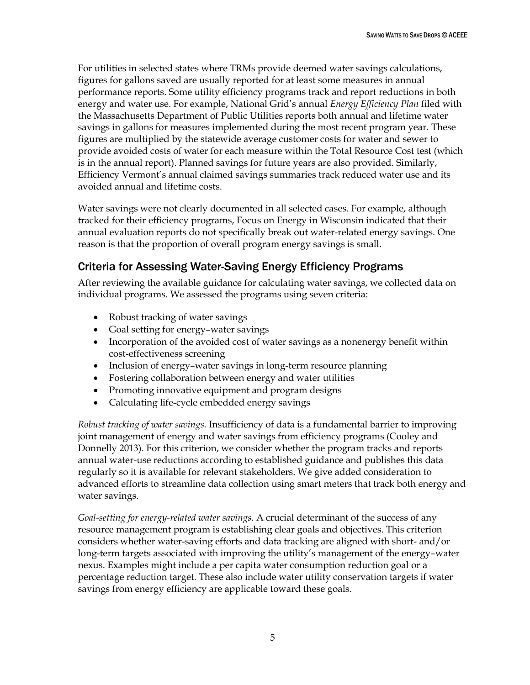For utilities in selected states where TRMs provide deemed water savings calculations, figures for gallons saved are usually reported for at least some measures in annual performance reports. Some utility efficiency programs track and report reductions in both energy and water use. For example, National Grid's annual *Energy Efficiency Plan* filed with the Massachusetts Department of Public Utilities reports both annual and lifetime water savings in gallons for measures implemented during the most recent program year. These figures are multiplied by the statewide average customer costs for water and sewer to provide avoided costs of water for each measure within the Total Resource Cost test (which is in the annual report). Planned savings for future years are also provided. Similarly, Efficiency Vermont's annual claimed savings summaries track reduced water use and its avoided annual and lifetime costs.

Water savings were not clearly documented in all selected cases. For example, although tracked for their efficiency programs, Focus on Energy in Wisconsin indicated that their annual evaluation reports do not specifically break out water-related energy savings. One reason is that the proportion of overall program energy savings is small.

# <span id="page-11-0"></span>Criteria for Assessing Water-Saving Energy Efficiency Programs

After reviewing the available guidance for calculating water savings, we collected data on individual programs. We assessed the programs using seven criteria:

- Robust tracking of water savings
- Goal setting for energy–water savings
- Incorporation of the avoided cost of water savings as a nonenergy benefit within cost-effectiveness screening
- Inclusion of energy-water savings in long-term resource planning
- Fostering collaboration between energy and water utilities
- Promoting innovative equipment and program designs
- Calculating life-cycle embedded energy savings

*Robust tracking of water savings.* Insufficiency of data is a fundamental barrier to improving joint management of energy and water savings from efficiency programs (Cooley and Donnelly 2013). For this criterion, we consider whether the program tracks and reports annual water-use reductions according to established guidance and publishes this data regularly so it is available for relevant stakeholders. We give added consideration to advanced efforts to streamline data collection using smart meters that track both energy and water savings.

*Goal-setting for energy-related water savings.* A crucial determinant of the success of any resource management program is establishing clear goals and objectives. This criterion considers whether water-saving efforts and data tracking are aligned with short- and/or long-term targets associated with improving the utility's management of the energy–water nexus. Examples might include a per capita water consumption reduction goal or a percentage reduction target. These also include water utility conservation targets if water savings from energy efficiency are applicable toward these goals.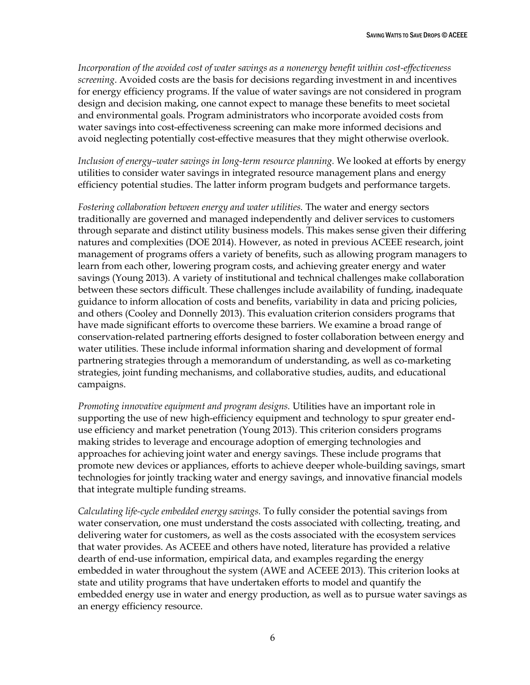*Incorporation of the avoided cost of water savings as a nonenergy benefit within cost-effectiveness screening*. Avoided costs are the basis for decisions regarding investment in and incentives for energy efficiency programs. If the value of water savings are not considered in program design and decision making, one cannot expect to manage these benefits to meet societal and environmental goals. Program administrators who incorporate avoided costs from water savings into cost-effectiveness screening can make more informed decisions and avoid neglecting potentially cost-effective measures that they might otherwise overlook.

*Inclusion of energy–water savings in long-term resource planning.* We looked at efforts by energy utilities to consider water savings in integrated resource management plans and energy efficiency potential studies. The latter inform program budgets and performance targets.

*Fostering collaboration between energy and water utilities.* The water and energy sectors traditionally are governed and managed independently and deliver services to customers through separate and distinct utility business models. This makes sense given their differing natures and complexities (DOE 2014). However, as noted in previous ACEEE research, joint management of programs offers a variety of benefits, such as allowing program managers to learn from each other, lowering program costs, and achieving greater energy and water savings (Young 2013). A variety of institutional and technical challenges make collaboration between these sectors difficult. These challenges include availability of funding, inadequate guidance to inform allocation of costs and benefits, variability in data and pricing policies, and others (Cooley and Donnelly 2013). This evaluation criterion considers programs that have made significant efforts to overcome these barriers. We examine a broad range of conservation-related partnering efforts designed to foster collaboration between energy and water utilities. These include informal information sharing and development of formal partnering strategies through a memorandum of understanding, as well as co-marketing strategies, joint funding mechanisms, and collaborative studies, audits, and educational campaigns.

*Promoting innovative equipment and program designs.* Utilities have an important role in supporting the use of new high-efficiency equipment and technology to spur greater enduse efficiency and market penetration (Young 2013). This criterion considers programs making strides to leverage and encourage adoption of emerging technologies and approaches for achieving joint water and energy savings. These include programs that promote new devices or appliances, efforts to achieve deeper whole-building savings, smart technologies for jointly tracking water and energy savings, and innovative financial models that integrate multiple funding streams.

*Calculating life-cycle embedded energy savings.* To fully consider the potential savings from water conservation, one must understand the costs associated with collecting, treating, and delivering water for customers, as well as the costs associated with the ecosystem services that water provides. As ACEEE and others have noted, literature has provided a relative dearth of end-use information, empirical data, and examples regarding the energy embedded in water throughout the system (AWE and ACEEE 2013). This criterion looks at state and utility programs that have undertaken efforts to model and quantify the embedded energy use in water and energy production, as well as to pursue water savings as an energy efficiency resource.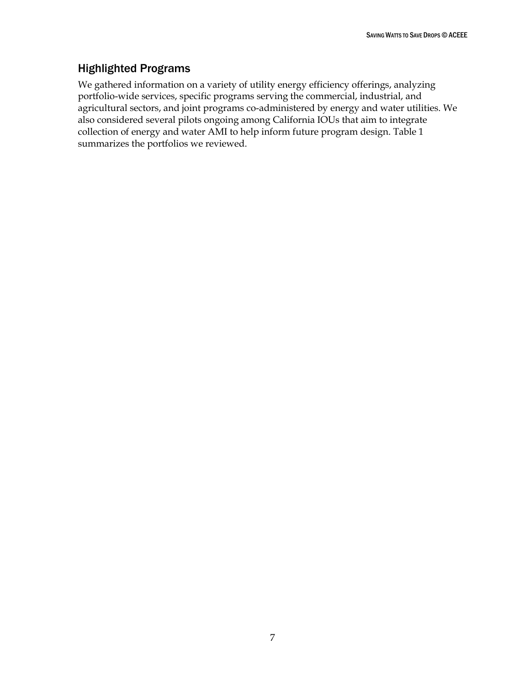# <span id="page-13-0"></span>Highlighted Programs

We gathered information on a variety of utility energy efficiency offerings, analyzing portfolio-wide services, specific programs serving the commercial, industrial, and agricultural sectors, and joint programs co-administered by energy and water utilities. We also considered several pilots ongoing among California IOUs that aim to integrate collection of energy and water AMI to help inform future program design. Table 1 summarizes the portfolios we reviewed.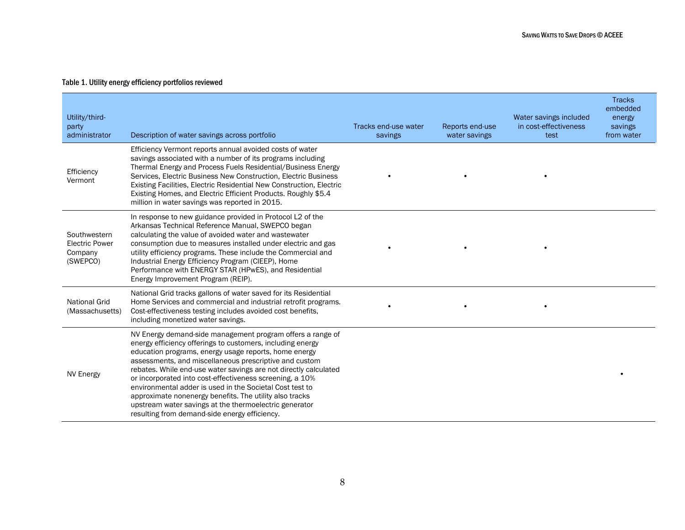#### Table 1. Utility energy efficiency portfolios reviewed

| Utility/third-<br>party<br>administrator                     | Description of water savings across portfolio                                                                                                                                                                                                                                                                                                                                                                                                                                                                                                                                                                 | Tracks end-use water<br>savings | Reports end-use<br>water savings | Water savings included<br>in cost-effectiveness<br>test | <b>Tracks</b><br>embedded<br>energy<br>savings<br>from water |
|--------------------------------------------------------------|---------------------------------------------------------------------------------------------------------------------------------------------------------------------------------------------------------------------------------------------------------------------------------------------------------------------------------------------------------------------------------------------------------------------------------------------------------------------------------------------------------------------------------------------------------------------------------------------------------------|---------------------------------|----------------------------------|---------------------------------------------------------|--------------------------------------------------------------|
| Efficiency<br>Vermont                                        | Efficiency Vermont reports annual avoided costs of water<br>savings associated with a number of its programs including<br>Thermal Energy and Process Fuels Residential/Business Energy<br>Services, Electric Business New Construction, Electric Business<br>Existing Facilities, Electric Residential New Construction, Electric<br>Existing Homes, and Electric Efficient Products. Roughly \$5.4<br>million in water savings was reported in 2015.                                                                                                                                                         |                                 |                                  |                                                         |                                                              |
| Southwestern<br><b>Electric Power</b><br>Company<br>(SWEPCO) | In response to new guidance provided in Protocol L2 of the<br>Arkansas Technical Reference Manual, SWEPCO began<br>calculating the value of avoided water and wastewater<br>consumption due to measures installed under electric and gas<br>utility efficiency programs. These include the Commercial and<br>Industrial Energy Efficiency Program (CIEEP), Home<br>Performance with ENERGY STAR (HPwES), and Residential<br>Energy Improvement Program (REIP).                                                                                                                                                |                                 |                                  |                                                         |                                                              |
| <b>National Grid</b><br>(Massachusetts)                      | National Grid tracks gallons of water saved for its Residential<br>Home Services and commercial and industrial retrofit programs.<br>Cost-effectiveness testing includes avoided cost benefits,<br>including monetized water savings.                                                                                                                                                                                                                                                                                                                                                                         |                                 |                                  |                                                         |                                                              |
| NV Energy                                                    | NV Energy demand-side management program offers a range of<br>energy efficiency offerings to customers, including energy<br>education programs, energy usage reports, home energy<br>assessments, and miscellaneous prescriptive and custom<br>rebates. While end-use water savings are not directly calculated<br>or incorporated into cost-effectiveness screening, a 10%<br>environmental adder is used in the Societal Cost test to<br>approximate nonenergy benefits. The utility also tracks<br>upstream water savings at the thermoelectric generator<br>resulting from demand-side energy efficiency. |                                 |                                  |                                                         |                                                              |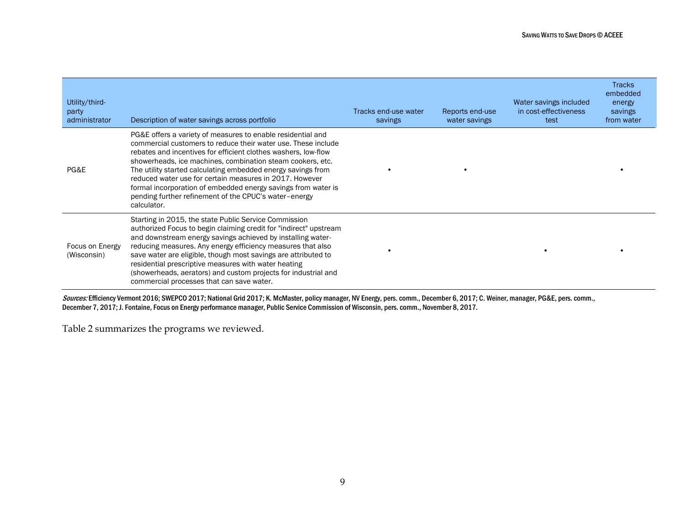| Utility/third-<br>party<br>administrator | Description of water savings across portfolio                                                                                                                                                                                                                                                                                                                                                                                                                                                                                    | Tracks end-use water<br>savings | Reports end-use<br>water savings | Water savings included<br>in cost-effectiveness<br>test | <b>Tracks</b><br>embedded<br>energy<br>savings<br>from water |
|------------------------------------------|----------------------------------------------------------------------------------------------------------------------------------------------------------------------------------------------------------------------------------------------------------------------------------------------------------------------------------------------------------------------------------------------------------------------------------------------------------------------------------------------------------------------------------|---------------------------------|----------------------------------|---------------------------------------------------------|--------------------------------------------------------------|
| PG&E                                     | PG&E offers a variety of measures to enable residential and<br>commercial customers to reduce their water use. These include<br>rebates and incentives for efficient clothes washers, low-flow<br>showerheads, ice machines, combination steam cookers, etc.<br>The utility started calculating embedded energy savings from<br>reduced water use for certain measures in 2017. However<br>formal incorporation of embedded energy savings from water is<br>pending further refinement of the CPUC's water-energy<br>calculator. |                                 |                                  |                                                         |                                                              |
| Focus on Energy<br>(Wisconsin)           | Starting in 2015, the state Public Service Commission<br>authorized Focus to begin claiming credit for "indirect" upstream<br>and downstream energy savings achieved by installing water-<br>reducing measures. Any energy efficiency measures that also<br>save water are eligible, though most savings are attributed to<br>residential prescriptive measures with water heating<br>(showerheads, aerators) and custom projects for industrial and<br>commercial processes that can save water.                                |                                 |                                  |                                                         |                                                              |

Sources: Efficiency Vermont 2016; SWEPCO 2017; National Grid 2017; K. McMaster, policy manager, NV Energy, pers. comm., December 6, 2017; C. Weiner, manager, PG&E, pers. comm., December 7, 2017; J. Fontaine, Focus on Energy performance manager, Public Service Commission of Wisconsin, pers. comm., November 8, 2017.

Table 2 summarizes the programs we reviewed.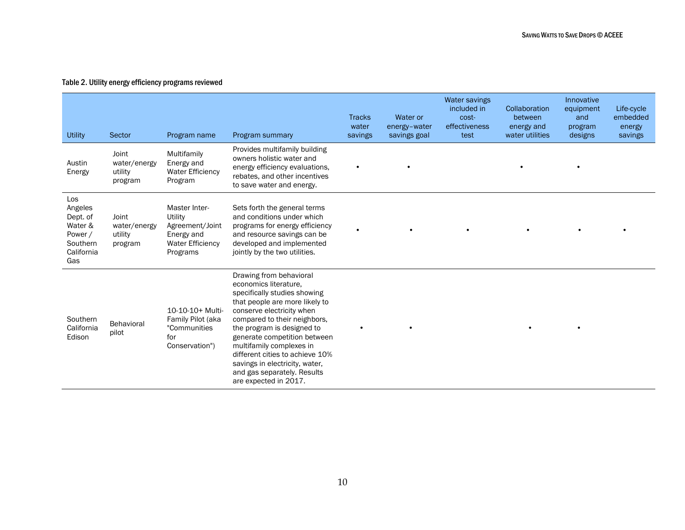#### Table 2. Utility energy efficiency programs reviewed

| Utility                                                                           | Sector                                      | Program name                                                                                     | Program summary                                                                                                                                                                                                                                                                                                                                                                                        | <b>Tracks</b><br>water<br>savings | Water or<br>energy-water<br>savings goal | Water savings<br>included in<br>cost-<br>effectiveness<br>test | Collaboration<br>between<br>energy and<br>water utilities | Innovative<br>equipment<br>and<br>program<br>designs | Life-cycle<br>embedded<br>energy<br>savings |
|-----------------------------------------------------------------------------------|---------------------------------------------|--------------------------------------------------------------------------------------------------|--------------------------------------------------------------------------------------------------------------------------------------------------------------------------------------------------------------------------------------------------------------------------------------------------------------------------------------------------------------------------------------------------------|-----------------------------------|------------------------------------------|----------------------------------------------------------------|-----------------------------------------------------------|------------------------------------------------------|---------------------------------------------|
| Austin<br>Energy                                                                  | Joint<br>water/energy<br>utility<br>program | Multifamily<br>Energy and<br><b>Water Efficiency</b><br>Program                                  | Provides multifamily building<br>owners holistic water and<br>energy efficiency evaluations,<br>rebates, and other incentives<br>to save water and energy.                                                                                                                                                                                                                                             | $\bullet$                         |                                          |                                                                |                                                           |                                                      |                                             |
| Los<br>Angeles<br>Dept. of<br>Water &<br>Power /<br>Southern<br>California<br>Gas | Joint<br>water/energy<br>utility<br>program | Master Inter-<br>Utility<br>Agreement/Joint<br>Energy and<br><b>Water Efficiency</b><br>Programs | Sets forth the general terms<br>and conditions under which<br>programs for energy efficiency<br>and resource savings can be<br>developed and implemented<br>jointly by the two utilities.                                                                                                                                                                                                              | $\bullet$                         |                                          |                                                                |                                                           |                                                      |                                             |
| Southern<br>California<br>Edison                                                  | Behavioral<br>pilot                         | 10-10-10+ Multi-<br>Family Pilot (aka<br>"Communities<br>for<br>Conservation")                   | Drawing from behavioral<br>economics literature.<br>specifically studies showing<br>that people are more likely to<br>conserve electricity when<br>compared to their neighbors.<br>the program is designed to<br>generate competition between<br>multifamily complexes in<br>different cities to achieve 10%<br>savings in electricity, water,<br>and gas separately. Results<br>are expected in 2017. |                                   |                                          |                                                                |                                                           |                                                      |                                             |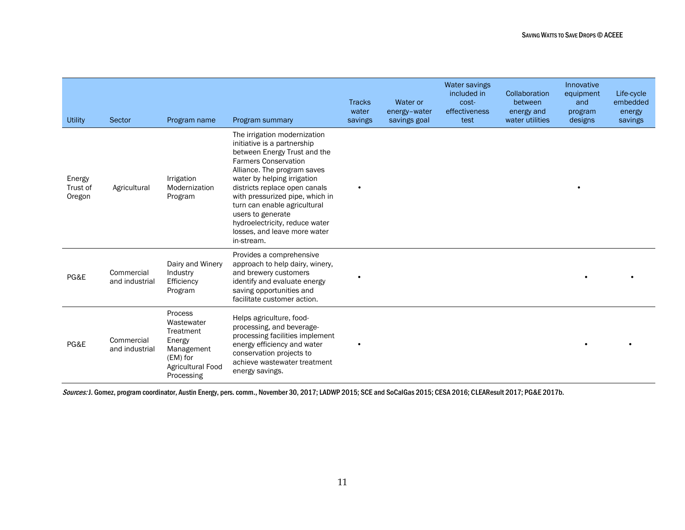| <b>Utility</b>               | Sector                       | Program name                                                                                              | Program summary                                                                                                                                                                                                                                                                                                                                                                                   | <b>Tracks</b><br>water<br>savings | Water or<br>energy-water<br>savings goal | Water savings<br>included in<br>cost-<br>effectiveness<br>test | Collaboration<br>between<br>energy and<br>water utilities | Innovative<br>equipment<br>and<br>program<br>designs | Life-cycle<br>embedded<br>energy<br>savings |
|------------------------------|------------------------------|-----------------------------------------------------------------------------------------------------------|---------------------------------------------------------------------------------------------------------------------------------------------------------------------------------------------------------------------------------------------------------------------------------------------------------------------------------------------------------------------------------------------------|-----------------------------------|------------------------------------------|----------------------------------------------------------------|-----------------------------------------------------------|------------------------------------------------------|---------------------------------------------|
| Energy<br>Trust of<br>Oregon | Agricultural                 | Irrigation<br>Modernization<br>Program                                                                    | The irrigation modernization<br>initiative is a partnership<br>between Energy Trust and the<br><b>Farmers Conservation</b><br>Alliance. The program saves<br>water by helping irrigation<br>districts replace open canals<br>with pressurized pipe, which in<br>turn can enable agricultural<br>users to generate<br>hydroelectricity, reduce water<br>losses, and leave more water<br>in-stream. | $\bullet$                         |                                          |                                                                |                                                           |                                                      |                                             |
| PG&E                         | Commercial<br>and industrial | Dairy and Winery<br>Industry<br>Efficiency<br>Program                                                     | Provides a comprehensive<br>approach to help dairy, winery,<br>and brewery customers<br>identify and evaluate energy<br>saving opportunities and<br>facilitate customer action.                                                                                                                                                                                                                   |                                   |                                          |                                                                |                                                           |                                                      |                                             |
| PG&E                         | Commercial<br>and industrial | Process<br>Wastewater<br>Treatment<br>Energy<br>Management<br>(EM) for<br>Agricultural Food<br>Processing | Helps agriculture, food-<br>processing, and beverage-<br>processing facilities implement<br>energy efficiency and water<br>conservation projects to<br>achieve wastewater treatment<br>energy savings.                                                                                                                                                                                            |                                   |                                          |                                                                |                                                           |                                                      |                                             |

Sources: J. Gomez, program coordinator, Austin Energy, pers. comm., November 30, 2017; LADWP 2015; SCE and SoCalGas 2015; CESA 2016; CLEAResult 2017; PG&E 2017b.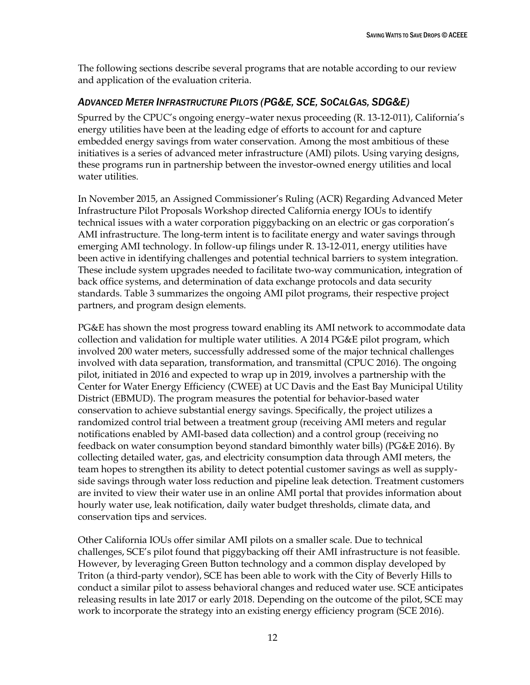The following sections describe several programs that are notable according to our review and application of the evaluation criteria.

### <span id="page-18-0"></span>*ADVANCED METER INFRASTRUCTURE PILOTS (PG&E, SCE, SOCALGAS, SDG&E)*

Spurred by the CPUC's ongoing energy–water nexus proceeding (R. 13-12-011), California's energy utilities have been at the leading edge of efforts to account for and capture embedded energy savings from water conservation. Among the most ambitious of these initiatives is a series of advanced meter infrastructure (AMI) pilots. Using varying designs, these programs run in partnership between the investor-owned energy utilities and local water utilities.

In November 2015, an Assigned Commissioner's Ruling (ACR) Regarding Advanced Meter Infrastructure Pilot Proposals Workshop directed California energy IOUs to identify technical issues with a water corporation piggybacking on an electric or gas corporation's AMI infrastructure. The long-term intent is to facilitate energy and water savings through emerging AMI technology. In follow-up filings under R. 13-12-011, energy utilities have been active in identifying challenges and potential technical barriers to system integration. These include system upgrades needed to facilitate two-way communication, integration of back office systems, and determination of data exchange protocols and data security standards. Table 3 summarizes the ongoing AMI pilot programs, their respective project partners, and program design elements.

PG&E has shown the most progress toward enabling its AMI network to accommodate data collection and validation for multiple water utilities. A 2014 PG&E pilot program, which involved 200 water meters, successfully addressed some of the major technical challenges involved with data separation, transformation, and transmittal (CPUC 2016). The ongoing pilot, initiated in 2016 and expected to wrap up in 2019, involves a partnership with the Center for Water Energy Efficiency (CWEE) at UC Davis and the East Bay Municipal Utility District (EBMUD). The program measures the potential for behavior-based water conservation to achieve substantial energy savings. Specifically, the project utilizes a randomized control trial between a treatment group (receiving AMI meters and regular notifications enabled by AMI-based data collection) and a control group (receiving no feedback on water consumption beyond standard bimonthly water bills) (PG&E 2016). By collecting detailed water, gas, and electricity consumption data through AMI meters, the team hopes to strengthen its ability to detect potential customer savings as well as supplyside savings through water loss reduction and pipeline leak detection. Treatment customers are invited to view their water use in an online AMI portal that provides information about hourly water use, leak notification, daily water budget thresholds, climate data, and conservation tips and services.

Other California IOUs offer similar AMI pilots on a smaller scale. Due to technical challenges, SCE's pilot found that piggybacking off their AMI infrastructure is not feasible. However, by leveraging Green Button technology and a common display developed by Triton (a third-party vendor), SCE has been able to work with the City of Beverly Hills to conduct a similar pilot to assess behavioral changes and reduced water use. SCE anticipates releasing results in late 2017 or early 2018. Depending on the outcome of the pilot, SCE may work to incorporate the strategy into an existing energy efficiency program (SCE 2016).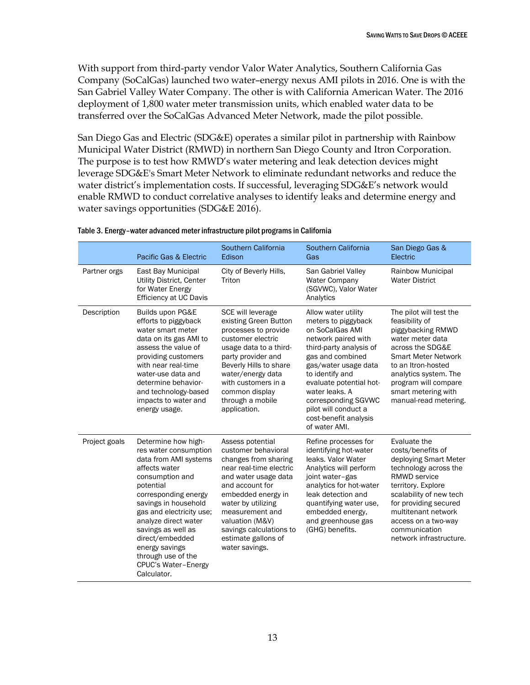With support from third-party vendor Valor Water Analytics, Southern California Gas Company (SoCalGas) launched two water–energy nexus AMI pilots in 2016. One is with the San Gabriel Valley Water Company. The other is with California American Water. The 2016 deployment of 1,800 water meter transmission units, which enabled water data to be transferred over the SoCalGas Advanced Meter Network, made the pilot possible.

San Diego Gas and Electric (SDG&E) operates a similar pilot in partnership with Rainbow Municipal Water District (RMWD) in northern San Diego County and Itron Corporation. The purpose is to test how RMWD's water metering and leak detection devices might leverage SDG&E's Smart Meter Network to eliminate redundant networks and reduce the water district's implementation costs. If successful, leveraging SDG&E's network would enable RMWD to conduct correlative analyses to identify leaks and determine energy and water savings opportunities (SDG&E 2016).

|               | Pacific Gas & Electric                                                                                                                                                                                                                                                                                                                            | Southern California<br>Edison                                                                                                                                                                                                                                                               | Southern California<br>Gas                                                                                                                                                                                                                                                                                           | San Diego Gas &<br>Electric                                                                                                                                                                                                                                             |
|---------------|---------------------------------------------------------------------------------------------------------------------------------------------------------------------------------------------------------------------------------------------------------------------------------------------------------------------------------------------------|---------------------------------------------------------------------------------------------------------------------------------------------------------------------------------------------------------------------------------------------------------------------------------------------|----------------------------------------------------------------------------------------------------------------------------------------------------------------------------------------------------------------------------------------------------------------------------------------------------------------------|-------------------------------------------------------------------------------------------------------------------------------------------------------------------------------------------------------------------------------------------------------------------------|
| Partner orgs  | East Bay Municipal<br>Utility District, Center<br>for Water Energy<br><b>Efficiency at UC Davis</b>                                                                                                                                                                                                                                               | City of Beverly Hills,<br>Triton                                                                                                                                                                                                                                                            | San Gabriel Valley<br><b>Water Company</b><br>(SGVWC), Valor Water<br>Analytics                                                                                                                                                                                                                                      | <b>Rainbow Municipal</b><br><b>Water District</b>                                                                                                                                                                                                                       |
| Description   | Builds upon PG&E<br>efforts to piggyback<br>water smart meter<br>data on its gas AMI to<br>assess the value of<br>providing customers<br>with near real-time<br>water-use data and<br>determine behavior-<br>and technology-based<br>impacts to water and<br>energy usage.                                                                        | SCE will leverage<br>existing Green Button<br>processes to provide<br>customer electric<br>usage data to a third-<br>party provider and<br>Beverly Hills to share<br>water/energy data<br>with customers in a<br>common display<br>through a mobile<br>application.                         | Allow water utility<br>meters to piggyback<br>on SoCalGas AMI<br>network paired with<br>third-party analysis of<br>gas and combined<br>gas/water usage data<br>to identify and<br>evaluate potential hot-<br>water leaks. A<br>corresponding SGVWC<br>pilot will conduct a<br>cost-benefit analysis<br>of water AMI. | The pilot will test the<br>feasibility of<br>piggybacking RMWD<br>water meter data<br>across the SDG&E<br><b>Smart Meter Network</b><br>to an Itron-hosted<br>analytics system. The<br>program will compare<br>smart metering with<br>manual-read metering.             |
| Project goals | Determine how high-<br>res water consumption<br>data from AMI systems<br>affects water<br>consumption and<br>potential<br>corresponding energy<br>savings in household<br>gas and electricity use;<br>analyze direct water<br>savings as well as<br>direct/embedded<br>energy savings<br>through use of the<br>CPUC's Water-Energy<br>Calculator. | Assess potential<br>customer behavioral<br>changes from sharing<br>near real-time electric<br>and water usage data<br>and account for<br>embedded energy in<br>water by utilizing<br>measurement and<br>valuation (M&V)<br>savings calculations to<br>estimate gallons of<br>water savings. | Refine processes for<br>identifying hot-water<br>leaks. Valor Water<br>Analytics will perform<br>joint water-gas<br>analytics for hot-water<br>leak detection and<br>quantifying water use,<br>embedded energy,<br>and greenhouse gas<br>(GHG) benefits.                                                             | Evaluate the<br>costs/benefits of<br>deploying Smart Meter<br>technology across the<br>RMWD service<br>territory. Explore<br>scalability of new tech<br>for providing secured<br>multitenant network<br>access on a two-way<br>communication<br>network infrastructure. |

|  |  | Table 3. Energy-water advanced meter infrastructure pilot programs in California |  |  |  |
|--|--|----------------------------------------------------------------------------------|--|--|--|
|--|--|----------------------------------------------------------------------------------|--|--|--|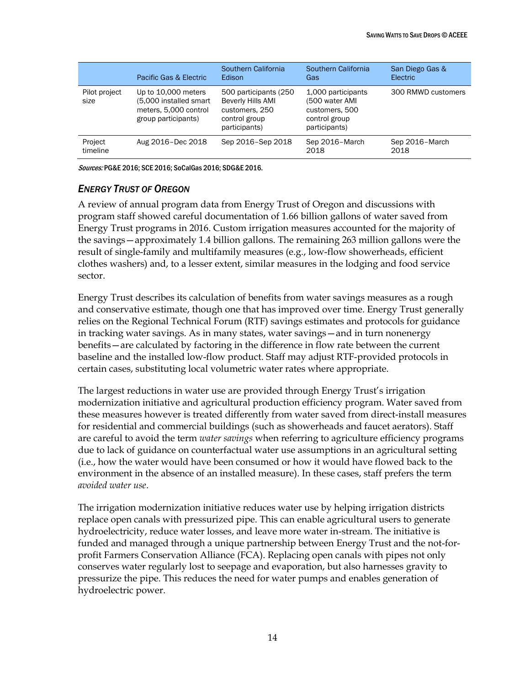|                       | Pacific Gas & Electric                                                                        | Southern California<br>Edison                                                                   | Southern California<br>Gas                                                               | San Diego Gas &<br>Electric |
|-----------------------|-----------------------------------------------------------------------------------------------|-------------------------------------------------------------------------------------------------|------------------------------------------------------------------------------------------|-----------------------------|
| Pilot project<br>size | Up to 10,000 meters<br>(5,000 installed smart<br>meters, 5,000 control<br>group participants) | 500 participants (250)<br>Beverly Hills AMI<br>customers, 250<br>control group<br>participants) | 1,000 participants<br>(500 water AMI<br>customers, 500<br>control group<br>participants) | 300 RMWD customers          |
| Project<br>timeline   | Aug 2016-Dec 2018                                                                             | Sep 2016-Sep 2018                                                                               | Sep 2016-March<br>2018                                                                   | Sep 2016-March<br>2018      |

Sources: PG&E 2016; SCE 2016; SoCalGas 2016; SDG&E 2016.

#### <span id="page-20-0"></span>*ENERGY TRUST OF OREGON*

A review of annual program data from Energy Trust of Oregon and discussions with program staff showed careful documentation of 1.66 billion gallons of water saved from Energy Trust programs in 2016. Custom irrigation measures accounted for the majority of the savings—approximately 1.4 billion gallons. The remaining 263 million gallons were the result of single-family and multifamily measures (e.g., low-flow showerheads, efficient clothes washers) and, to a lesser extent, similar measures in the lodging and food service sector.

Energy Trust describes its calculation of benefits from water savings measures as a rough and conservative estimate, though one that has improved over time. Energy Trust generally relies on the Regional Technical Forum (RTF) savings estimates and protocols for guidance in tracking water savings. As in many states, water savings—and in turn nonenergy benefits—are calculated by factoring in the difference in flow rate between the current baseline and the installed low-flow product. Staff may adjust RTF-provided protocols in certain cases, substituting local volumetric water rates where appropriate.

The largest reductions in water use are provided through Energy Trust's irrigation modernization initiative and agricultural production efficiency program. Water saved from these measures however is treated differently from water saved from direct-install measures for residential and commercial buildings (such as showerheads and faucet aerators). Staff are careful to avoid the term *water savings* when referring to agriculture efficiency programs due to lack of guidance on counterfactual water use assumptions in an agricultural setting (i.e., how the water would have been consumed or how it would have flowed back to the environment in the absence of an installed measure). In these cases, staff prefers the term *avoided water use*.

The irrigation modernization initiative reduces water use by helping irrigation districts replace open canals with pressurized pipe. This can enable agricultural users to generate hydroelectricity, reduce water losses, and leave more water in-stream. The initiative is funded and managed through a unique partnership between Energy Trust and the not-forprofit Farmers Conservation Alliance (FCA). Replacing open canals with pipes not only conserves water regularly lost to seepage and evaporation, but also harnesses gravity to pressurize the pipe. This reduces the need for water pumps and enables generation of hydroelectric power.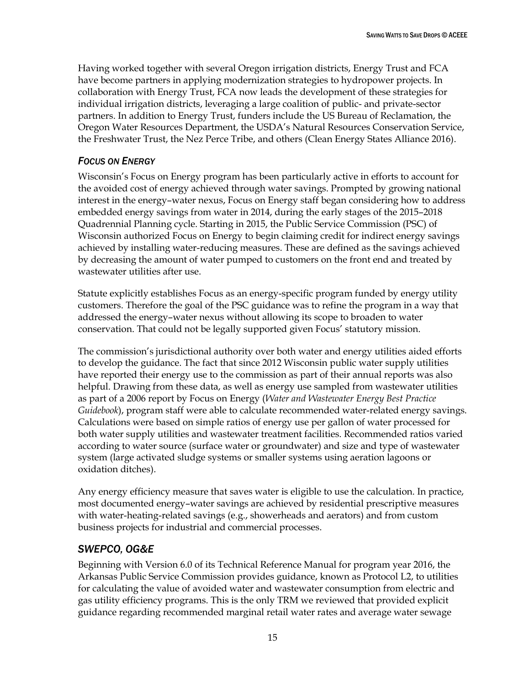Having worked together with several Oregon irrigation districts, Energy Trust and FCA have become partners in applying modernization strategies to hydropower projects. In collaboration with Energy Trust, FCA now leads the development of these strategies for individual irrigation districts, leveraging a large coalition of public- and private-sector partners. In addition to Energy Trust, funders include the US Bureau of Reclamation, the Oregon Water Resources Department, the USDA's Natural Resources Conservation Service, the Freshwater Trust, the Nez Perce Tribe, and others (Clean Energy States Alliance 2016).

#### <span id="page-21-0"></span>*FOCUS ON ENERGY*

Wisconsin's Focus on Energy program has been particularly active in efforts to account for the avoided cost of energy achieved through water savings. Prompted by growing national interest in the energy–water nexus, Focus on Energy staff began considering how to address embedded energy savings from water in 2014, during the early stages of the 2015–2018 Quadrennial Planning cycle. Starting in 2015, the Public Service Commission (PSC) of Wisconsin authorized Focus on Energy to begin claiming credit for indirect energy savings achieved by installing water-reducing measures. These are defined as the savings achieved by decreasing the amount of water pumped to customers on the front end and treated by wastewater utilities after use.

Statute explicitly establishes Focus as an energy-specific program funded by energy utility customers. Therefore the goal of the PSC guidance was to refine the program in a way that addressed the energy–water nexus without allowing its scope to broaden to water conservation. That could not be legally supported given Focus' statutory mission.

The commission's jurisdictional authority over both water and energy utilities aided efforts to develop the guidance. The fact that since 2012 Wisconsin public water supply utilities have reported their energy use to the commission as part of their annual reports was also helpful. Drawing from these data, as well as energy use sampled from wastewater utilities as part of a 2006 report by Focus on Energy (*Water and Wastewater Energy Best Practice Guidebook*), program staff were able to calculate recommended water-related energy savings. Calculations were based on simple ratios of energy use per gallon of water processed for both water supply utilities and wastewater treatment facilities. Recommended ratios varied according to water source (surface water or groundwater) and size and type of wastewater system (large activated sludge systems or smaller systems using aeration lagoons or oxidation ditches).

Any energy efficiency measure that saves water is eligible to use the calculation. In practice, most documented energy–water savings are achieved by residential prescriptive measures with water-heating-related savings (e.g., showerheads and aerators) and from custom business projects for industrial and commercial processes.

### <span id="page-21-1"></span>*SWEPCO, OG&E*

Beginning with Version 6.0 of its Technical Reference Manual for program year 2016, the Arkansas Public Service Commission provides guidance, known as Protocol L2, to utilities for calculating the value of avoided water and wastewater consumption from electric and gas utility efficiency programs. This is the only TRM we reviewed that provided explicit guidance regarding recommended marginal retail water rates and average water sewage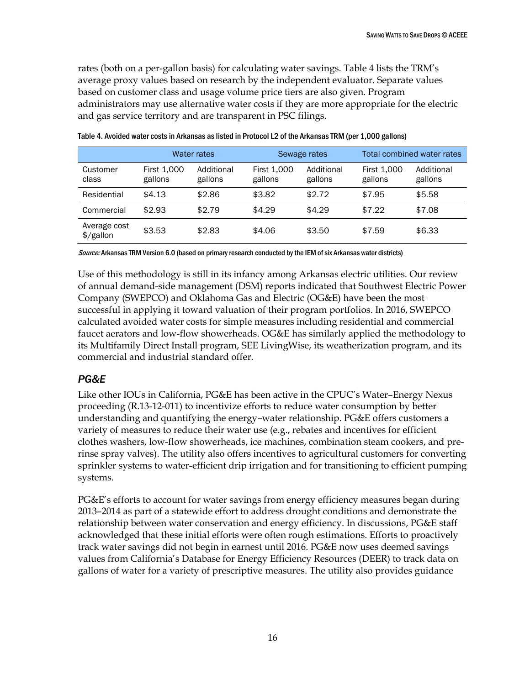rates (both on a per-gallon basis) for calculating water savings. Table 4 lists the TRM's average proxy values based on research by the independent evaluator. Separate values based on customer class and usage volume price tiers are also given. Program administrators may use alternative water costs if they are more appropriate for the electric and gas service territory and are transparent in PSC filings.

|                                       | Water rates            |                       | Sewage rates           |                       | Total combined water rates    |                       |
|---------------------------------------|------------------------|-----------------------|------------------------|-----------------------|-------------------------------|-----------------------|
| Customer<br>class                     | First 1,000<br>gallons | Additional<br>gallons | First 1,000<br>gallons | Additional<br>gallons | <b>First 1,000</b><br>gallons | Additional<br>gallons |
| Residential                           | \$4.13                 | \$2.86                | \$3.82                 | \$2.72                | \$7.95                        | \$5.58                |
| Commercial                            | \$2.93                 | \$2.79                | \$4.29                 | \$4.29                | \$7.22                        | \$7.08                |
| Average cost<br>$\frac{1}{2}$ /gallon | \$3.53                 | \$2.83                | \$4.06                 | \$3.50                | \$7.59                        | \$6.33                |

Table 4. Avoided water costs in Arkansas as listed in Protocol L2 of the Arkansas TRM (per 1,000 gallons)

Source: Arkansas TRM Version 6.0 (based on primary research conducted by the IEM of six Arkansas water districts)

Use of this methodology is still in its infancy among Arkansas electric utilities. Our review of annual demand-side management (DSM) reports indicated that Southwest Electric Power Company (SWEPCO) and Oklahoma Gas and Electric (OG&E) have been the most successful in applying it toward valuation of their program portfolios. In 2016, SWEPCO calculated avoided water costs for simple measures including residential and commercial faucet aerators and low-flow showerheads. OG&E has similarly applied the methodology to its Multifamily Direct Install program, SEE LivingWise, its weatherization program, and its commercial and industrial standard offer.

## <span id="page-22-0"></span>*PG&E*

Like other IOUs in California, PG&E has been active in the CPUC's Water–Energy Nexus proceeding (R.13-12-011) to incentivize efforts to reduce water consumption by better understanding and quantifying the energy–water relationship. PG&E offers customers a variety of measures to reduce their water use (e.g., rebates and incentives for efficient clothes washers, low-flow showerheads, ice machines, combination steam cookers, and prerinse spray valves). The utility also offers incentives to agricultural customers for converting sprinkler systems to water-efficient drip irrigation and for transitioning to efficient pumping systems.

PG&E's efforts to account for water savings from energy efficiency measures began during 2013–2014 as part of a statewide effort to address drought conditions and demonstrate the relationship between water conservation and energy efficiency. In discussions, PG&E staff acknowledged that these initial efforts were often rough estimations. Efforts to proactively track water savings did not begin in earnest until 2016. PG&E now uses deemed savings values from California's Database for Energy Efficiency Resources (DEER) to track data on gallons of water for a variety of prescriptive measures. The utility also provides guidance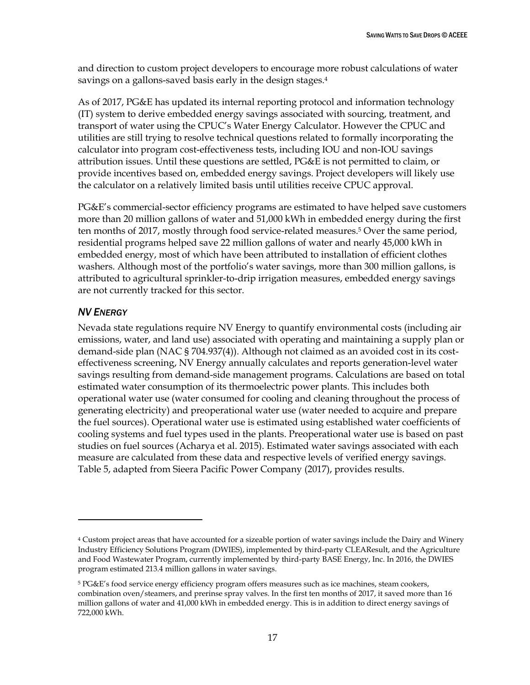and direction to custom project developers to encourage more robust calculations of water savings on a gallons-saved basis early in the design stages.<sup>4</sup>

As of 2017, PG&E has updated its internal reporting protocol and information technology (IT) system to derive embedded energy savings associated with sourcing, treatment, and transport of water using the CPUC's Water Energy Calculator. However the CPUC and utilities are still trying to resolve technical questions related to formally incorporating the calculator into program cost-effectiveness tests, including IOU and non-IOU savings attribution issues. Until these questions are settled, PG&E is not permitted to claim, or provide incentives based on, embedded energy savings. Project developers will likely use the calculator on a relatively limited basis until utilities receive CPUC approval.

PG&E's commercial-sector efficiency programs are estimated to have helped save customers more than 20 million gallons of water and 51,000 kWh in embedded energy during the first ten months of 2017, mostly through food service-related measures.<sup>5</sup> Over the same period, residential programs helped save 22 million gallons of water and nearly 45,000 kWh in embedded energy, most of which have been attributed to installation of efficient clothes washers. Although most of the portfolio's water savings, more than 300 million gallons, is attributed to agricultural sprinkler-to-drip irrigation measures, embedded energy savings are not currently tracked for this sector.

### <span id="page-23-0"></span>*NV ENERGY*

 $\overline{a}$ 

Nevada state regulations require NV Energy to quantify environmental costs (including air emissions, water, and land use) associated with operating and maintaining a supply plan or demand-side plan (NAC § 704.937(4)). Although not claimed as an avoided cost in its costeffectiveness screening, NV Energy annually calculates and reports generation-level water savings resulting from demand-side management programs. Calculations are based on total estimated water consumption of its thermoelectric power plants. This includes both operational water use (water consumed for cooling and cleaning throughout the process of generating electricity) and preoperational water use (water needed to acquire and prepare the fuel sources). Operational water use is estimated using established water coefficients of cooling systems and fuel types used in the plants. Preoperational water use is based on past studies on fuel sources (Acharya et al. 2015). Estimated water savings associated with each measure are calculated from these data and respective levels of verified energy savings. Table 5, adapted from Sieera Pacific Power Company (2017), provides results.

<sup>&</sup>lt;sup>4</sup> Custom project areas that have accounted for a sizeable portion of water savings include the Dairy and Winery Industry Efficiency Solutions Program (DWIES), implemented by third-party CLEAResult, and the Agriculture and Food Wastewater Program, currently implemented by third-party BASE Energy, Inc. In 2016, the DWIES program estimated 213.4 million gallons in water savings.

<sup>5</sup> PG&E's food service energy efficiency program offers measures such as ice machines, steam cookers, combination oven/steamers, and prerinse spray valves. In the first ten months of 2017, it saved more than 16 million gallons of water and 41,000 kWh in embedded energy. This is in addition to direct energy savings of 722,000 kWh.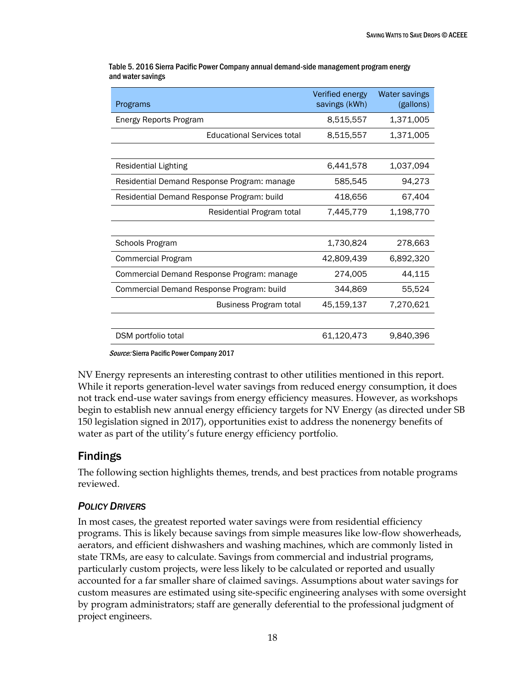| Programs                                    | Verified energy<br>savings (kWh) | Water savings<br>(gallons) |
|---------------------------------------------|----------------------------------|----------------------------|
| Energy Reports Program                      | 8,515,557                        | 1,371,005                  |
| <b>Educational Services total</b>           | 8,515,557                        | 1,371,005                  |
|                                             |                                  |                            |
| <b>Residential Lighting</b>                 | 6,441,578                        | 1,037,094                  |
| Residential Demand Response Program: manage | 585,545                          | 94,273                     |
| Residential Demand Response Program: build  | 418,656                          | 67,404                     |
| Residential Program total                   | 7,445,779                        | 1,198,770                  |
|                                             |                                  |                            |
| Schools Program                             | 1,730,824                        | 278,663                    |
| Commercial Program                          | 42,809,439                       | 6,892,320                  |
| Commercial Demand Response Program: manage  | 274,005                          | 44,115                     |
| Commercial Demand Response Program: build   | 344,869                          | 55,524                     |
| Business Program total                      | 45,159,137                       | 7,270,621                  |
|                                             |                                  |                            |
| DSM portfolio total                         | 61,120,473                       | 9,840,396                  |

Table 5. 2016 Sierra Pacific Power Company annual demand-side management program energy and water savings

Source: Sierra Pacific Power Company 2017

<span id="page-24-0"></span>NV Energy represents an interesting contrast to other utilities mentioned in this report. While it reports generation-level water savings from reduced energy consumption, it does not track end-use water savings from energy efficiency measures. However, as workshops begin to establish new annual energy efficiency targets for NV Energy (as directed under SB 150 legislation signed in 2017), opportunities exist to address the nonenergy benefits of water as part of the utility's future energy efficiency portfolio.

# Findings

The following section highlights themes, trends, and best practices from notable programs reviewed.

## <span id="page-24-1"></span>*POLICY DRIVERS*

In most cases, the greatest reported water savings were from residential efficiency programs. This is likely because savings from simple measures like low-flow showerheads, aerators, and efficient dishwashers and washing machines, which are commonly listed in state TRMs, are easy to calculate. Savings from commercial and industrial programs, particularly custom projects, were less likely to be calculated or reported and usually accounted for a far smaller share of claimed savings. Assumptions about water savings for custom measures are estimated using site-specific engineering analyses with some oversight by program administrators; staff are generally deferential to the professional judgment of project engineers.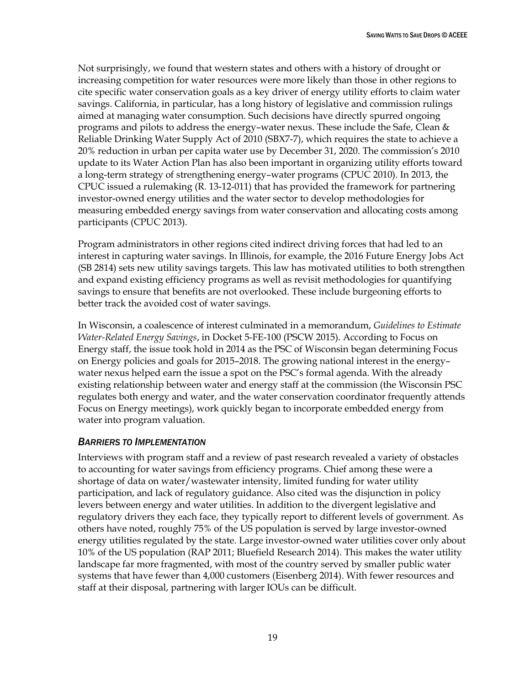Not surprisingly, we found that western states and others with a history of drought or increasing competition for water resources were more likely than those in other regions to cite specific water conservation goals as a key driver of energy utility efforts to claim water savings. California, in particular, has a long history of legislative and commission rulings aimed at managing water consumption. Such decisions have directly spurred ongoing programs and pilots to address the energy–water nexus. These include the Safe, Clean & Reliable Drinking Water Supply Act of 2010 (SBX7-7), which requires the state to achieve a 20% reduction in urban per capita water use by December 31, 2020. The commission's 2010 update to its Water Action Plan has also been important in organizing utility efforts toward a long-term strategy of strengthening energy–water programs (CPUC 2010). In 2013, the CPUC issued a rulemaking (R. 13-12-011) that has provided the framework for partnering investor-owned energy utilities and the water sector to develop methodologies for measuring embedded energy savings from water conservation and allocating costs among participants (CPUC 2013).

Program administrators in other regions cited indirect driving forces that had led to an interest in capturing water savings. In Illinois, for example, the 2016 Future Energy Jobs Act (SB 2814) sets new utility savings targets. This law has motivated utilities to both strengthen and expand existing efficiency programs as well as revisit methodologies for quantifying savings to ensure that benefits are not overlooked. These include burgeoning efforts to better track the avoided cost of water savings.

In Wisconsin, a coalescence of interest culminated in a memorandum, *Guidelines to Estimate Water-Related Energy Savings*, in Docket 5-FE-100 (PSCW 2015). According to Focus on Energy staff, the issue took hold in 2014 as the PSC of Wisconsin began determining Focus on Energy policies and goals for 2015–2018. The growing national interest in the energy– water nexus helped earn the issue a spot on the PSC's formal agenda. With the already existing relationship between water and energy staff at the commission (the Wisconsin PSC regulates both energy and water, and the water conservation coordinator frequently attends Focus on Energy meetings), work quickly began to incorporate embedded energy from water into program valuation.

#### <span id="page-25-0"></span>*BARRIERS TO IMPLEMENTATION*

Interviews with program staff and a review of past research revealed a variety of obstacles to accounting for water savings from efficiency programs. Chief among these were a shortage of data on water/wastewater intensity, limited funding for water utility participation, and lack of regulatory guidance. Also cited was the disjunction in policy levers between energy and water utilities. In addition to the divergent legislative and regulatory drivers they each face, they typically report to different levels of government. As others have noted, roughly 75% of the US population is served by large investor-owned energy utilities regulated by the state. Large investor-owned water utilities cover only about 10% of the US population (RAP 2011; Bluefield Research 2014). This makes the water utility landscape far more fragmented, with most of the country served by smaller public water systems that have fewer than 4,000 customers (Eisenberg 2014). With fewer resources and staff at their disposal, partnering with larger IOUs can be difficult.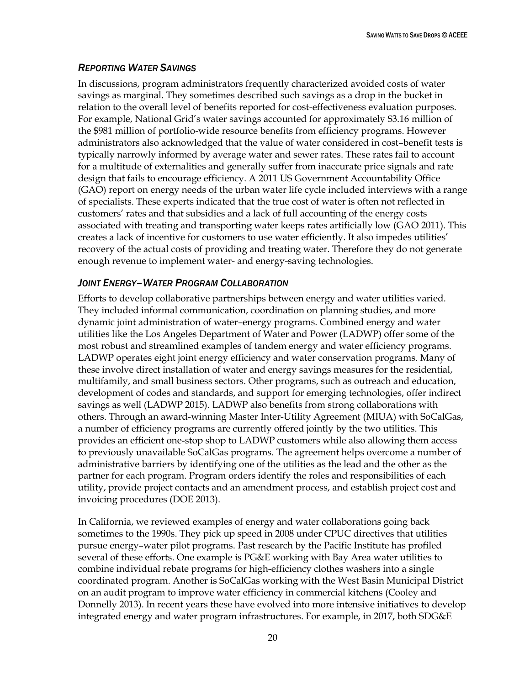#### <span id="page-26-0"></span>*REPORTING WATER SAVINGS*

In discussions, program administrators frequently characterized avoided costs of water savings as marginal. They sometimes described such savings as a drop in the bucket in relation to the overall level of benefits reported for cost-effectiveness evaluation purposes. For example, National Grid's water savings accounted for approximately \$3.16 million of the \$981 million of portfolio-wide resource benefits from efficiency programs. However administrators also acknowledged that the value of water considered in cost–benefit tests is typically narrowly informed by average water and sewer rates. These rates fail to account for a multitude of externalities and generally suffer from inaccurate price signals and rate design that fails to encourage efficiency. A 2011 US Government Accountability Office (GAO) report on energy needs of the urban water life cycle included interviews with a range of specialists. These experts indicated that the true cost of water is often not reflected in customers' rates and that subsidies and a lack of full accounting of the energy costs associated with treating and transporting water keeps rates artificially low (GAO 2011). This creates a lack of incentive for customers to use water efficiently. It also impedes utilities' recovery of the actual costs of providing and treating water. Therefore they do not generate enough revenue to implement water- and energy-saving technologies.

#### <span id="page-26-1"></span>*JOINT ENERGY–WATER PROGRAM COLLABORATION*

Efforts to develop collaborative partnerships between energy and water utilities varied. They included informal communication, coordination on planning studies, and more dynamic joint administration of water–energy programs. Combined energy and water utilities like the Los Angeles Department of Water and Power (LADWP) offer some of the most robust and streamlined examples of tandem energy and water efficiency programs. LADWP operates eight joint energy efficiency and water conservation programs. Many of these involve direct installation of water and energy savings measures for the residential, multifamily, and small business sectors. Other programs, such as outreach and education, development of codes and standards, and support for emerging technologies, offer indirect savings as well (LADWP 2015). LADWP also benefits from strong collaborations with others. Through an award-winning Master Inter-Utility Agreement (MIUA) with SoCalGas, a number of efficiency programs are currently offered jointly by the two utilities. This provides an efficient one-stop shop to LADWP customers while also allowing them access to previously unavailable SoCalGas programs. The agreement helps overcome a number of administrative barriers by identifying one of the utilities as the lead and the other as the partner for each program. Program orders identify the roles and responsibilities of each utility, provide project contacts and an amendment process, and establish project cost and invoicing procedures (DOE 2013).

In California, we reviewed examples of energy and water collaborations going back sometimes to the 1990s. They pick up speed in 2008 under CPUC directives that utilities pursue energy–water pilot programs. Past research by the Pacific Institute has profiled several of these efforts. One example is PG&E working with Bay Area water utilities to combine individual rebate programs for high-efficiency clothes washers into a single coordinated program. Another is SoCalGas working with the West Basin Municipal District on an audit program to improve water efficiency in commercial kitchens (Cooley and Donnelly 2013). In recent years these have evolved into more intensive initiatives to develop integrated energy and water program infrastructures. For example, in 2017, both SDG&E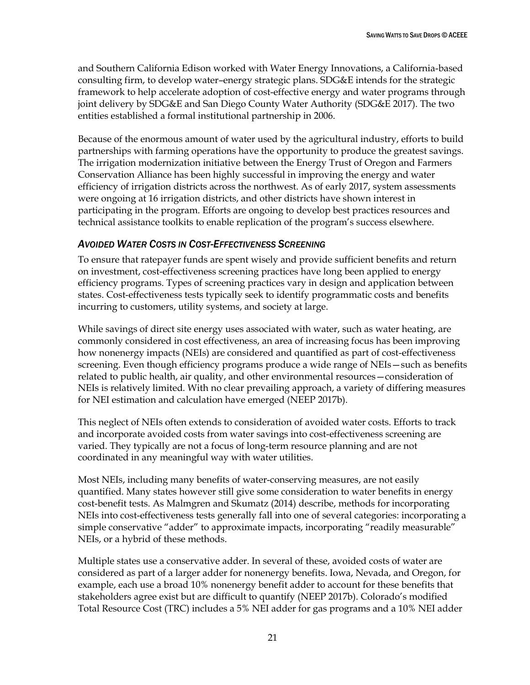and Southern California Edison worked with Water Energy Innovations, a California-based consulting firm, to develop water–energy strategic plans. SDG&E intends for the strategic framework to help accelerate adoption of cost-effective energy and water programs through joint delivery by SDG&E and San Diego County Water Authority (SDG&E 2017). The two entities established a formal institutional partnership in 2006.

Because of the enormous amount of water used by the agricultural industry, efforts to build partnerships with farming operations have the opportunity to produce the greatest savings. The irrigation modernization initiative between the Energy Trust of Oregon and Farmers Conservation Alliance has been highly successful in improving the energy and water efficiency of irrigation districts across the northwest. As of early 2017, system assessments were ongoing at 16 irrigation districts, and other districts have shown interest in participating in the program. Efforts are ongoing to develop best practices resources and technical assistance toolkits to enable replication of the program's success elsewhere.

#### <span id="page-27-0"></span>*AVOIDED WATER COSTS IN COST-EFFECTIVENESS SCREENING*

To ensure that ratepayer funds are spent wisely and provide sufficient benefits and return on investment, cost-effectiveness screening practices have long been applied to energy efficiency programs. Types of screening practices vary in design and application between states. Cost-effectiveness tests typically seek to identify programmatic costs and benefits incurring to customers, utility systems, and society at large.

While savings of direct site energy uses associated with water, such as water heating, are commonly considered in cost effectiveness, an area of increasing focus has been improving how nonenergy impacts (NEIs) are considered and quantified as part of cost-effectiveness screening. Even though efficiency programs produce a wide range of NEIs—such as benefits related to public health, air quality, and other environmental resources—consideration of NEIs is relatively limited. With no clear prevailing approach, a variety of differing measures for NEI estimation and calculation have emerged (NEEP 2017b).

This neglect of NEIs often extends to consideration of avoided water costs. Efforts to track and incorporate avoided costs from water savings into cost-effectiveness screening are varied. They typically are not a focus of long-term resource planning and are not coordinated in any meaningful way with water utilities.

Most NEIs, including many benefits of water-conserving measures, are not easily quantified. Many states however still give some consideration to water benefits in energy cost-benefit tests. As Malmgren and Skumatz (2014) describe, methods for incorporating NEIs into cost-effectiveness tests generally fall into one of several categories: incorporating a simple conservative "adder" to approximate impacts, incorporating "readily measurable" NEIs, or a hybrid of these methods.

Multiple states use a conservative adder. In several of these, avoided costs of water are considered as part of a larger adder for nonenergy benefits. Iowa, Nevada, and Oregon, for example, each use a broad 10% nonenergy benefit adder to account for these benefits that stakeholders agree exist but are difficult to quantify (NEEP 2017b). Colorado's modified Total Resource Cost (TRC) includes a 5% NEI adder for gas programs and a 10% NEI adder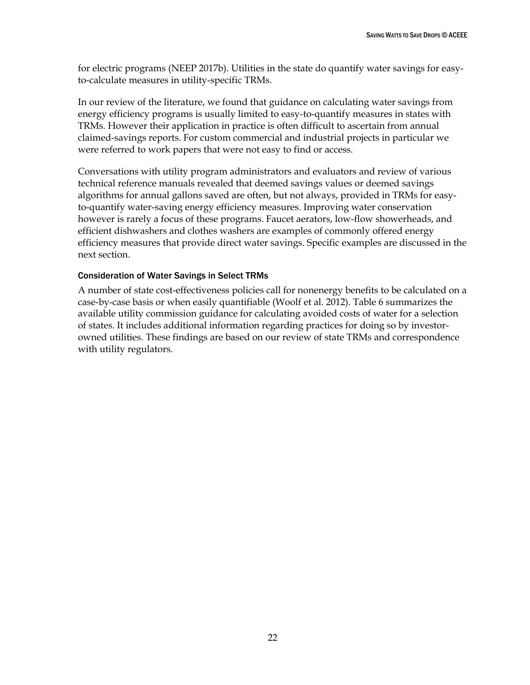for electric programs (NEEP 2017b). Utilities in the state do quantify water savings for easyto-calculate measures in utility-specific TRMs.

In our review of the literature, we found that guidance on calculating water savings from energy efficiency programs is usually limited to easy-to-quantify measures in states with TRMs. However their application in practice is often difficult to ascertain from annual claimed-savings reports. For custom commercial and industrial projects in particular we were referred to work papers that were not easy to find or access.

Conversations with utility program administrators and evaluators and review of various technical reference manuals revealed that deemed savings values or deemed savings algorithms for annual gallons saved are often, but not always, provided in TRMs for easyto-quantify water-saving energy efficiency measures. Improving water conservation however is rarely a focus of these programs. Faucet aerators, low-flow showerheads, and efficient dishwashers and clothes washers are examples of commonly offered energy efficiency measures that provide direct water savings. Specific examples are discussed in the next section.

#### Consideration of Water Savings in Select TRMs

A number of state cost-effectiveness policies call for nonenergy benefits to be calculated on a case-by-case basis or when easily quantifiable (Woolf et al. 2012). Table 6 summarizes the available utility commission guidance for calculating avoided costs of water for a selection of states. It includes additional information regarding practices for doing so by investorowned utilities. These findings are based on our review of state TRMs and correspondence with utility regulators.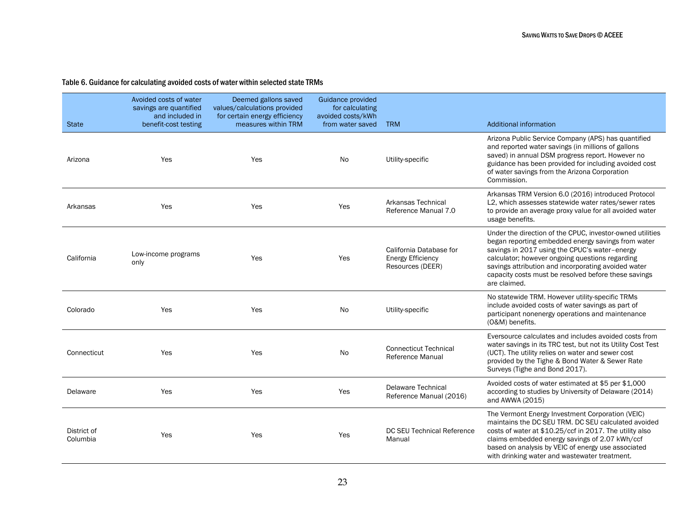#### Table 6. Guidance for calculating avoided costs of water within selected state TRMs

| <b>State</b>            | Avoided costs of water<br>savings are quantified<br>and included in<br>benefit-cost testing | Deemed gallons saved<br>values/calculations provided<br>for certain energy efficiency<br>measures within TRM | Guidance provided<br>for calculating<br>avoided costs/kWh<br>from water saved | <b>TRM</b>                                                              | <b>Additional information</b>                                                                                                                                                                                                                                                                                                                      |
|-------------------------|---------------------------------------------------------------------------------------------|--------------------------------------------------------------------------------------------------------------|-------------------------------------------------------------------------------|-------------------------------------------------------------------------|----------------------------------------------------------------------------------------------------------------------------------------------------------------------------------------------------------------------------------------------------------------------------------------------------------------------------------------------------|
| Arizona                 | Yes                                                                                         | Yes                                                                                                          | No.                                                                           | Utility-specific                                                        | Arizona Public Service Company (APS) has quantified<br>and reported water savings (in millions of gallons<br>saved) in annual DSM progress report. However no<br>guidance has been provided for including avoided cost<br>of water savings from the Arizona Corporation<br>Commission.                                                             |
| Arkansas                | Yes                                                                                         | Yes                                                                                                          | Yes                                                                           | Arkansas Technical<br>Reference Manual 7.0                              | Arkansas TRM Version 6.0 (2016) introduced Protocol<br>L2, which assesses statewide water rates/sewer rates<br>to provide an average proxy value for all avoided water<br>usage benefits.                                                                                                                                                          |
| California              | Low-income programs<br>only                                                                 | Yes                                                                                                          | Yes                                                                           | California Database for<br><b>Energy Efficiency</b><br>Resources (DEER) | Under the direction of the CPUC, investor-owned utilities<br>began reporting embedded energy savings from water<br>savings in 2017 using the CPUC's water-energy<br>calculator; however ongoing questions regarding<br>savings attribution and incorporating avoided water<br>capacity costs must be resolved before these savings<br>are claimed. |
| Colorado                | Yes                                                                                         | Yes                                                                                                          | <b>No</b>                                                                     | Utility-specific                                                        | No statewide TRM. However utility-specific TRMs<br>include avoided costs of water savings as part of<br>participant nonenergy operations and maintenance<br>(O&M) benefits.                                                                                                                                                                        |
| Connecticut             | Yes                                                                                         | Yes                                                                                                          | No.                                                                           | <b>Connecticut Technical</b><br>Reference Manual                        | Eversource calculates and includes avoided costs from<br>water savings in its TRC test, but not its Utility Cost Test<br>(UCT). The utility relies on water and sewer cost<br>provided by the Tighe & Bond Water & Sewer Rate<br>Surveys (Tighe and Bond 2017).                                                                                    |
| Delaware                | Yes                                                                                         | Yes                                                                                                          | Yes                                                                           | <b>Delaware Technical</b><br>Reference Manual (2016)                    | Avoided costs of water estimated at \$5 per \$1,000<br>according to studies by University of Delaware (2014)<br>and AWWA (2015)                                                                                                                                                                                                                    |
| District of<br>Columbia | Yes                                                                                         | Yes                                                                                                          | Yes                                                                           | DC SEU Technical Reference<br>Manual                                    | The Vermont Energy Investment Corporation (VEIC)<br>maintains the DC SEU TRM. DC SEU calculated avoided<br>costs of water at \$10.25/ccf in 2017. The utility also<br>claims embedded energy savings of 2.07 kWh/ccf<br>based on analysis by VEIC of energy use associated<br>with drinking water and wastewater treatment.                        |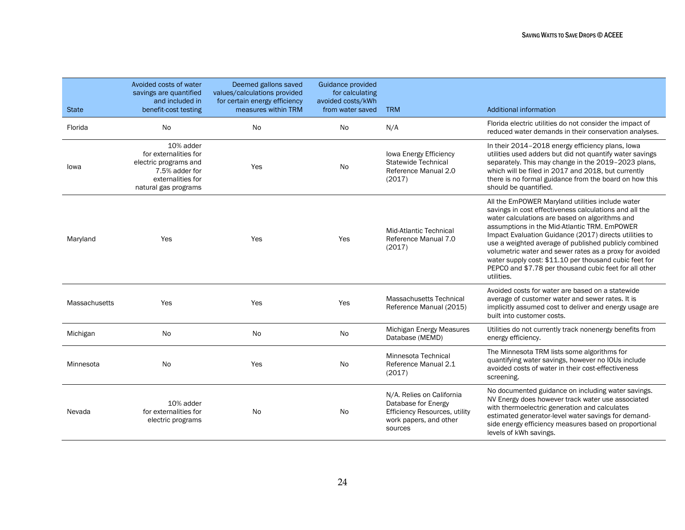| <b>State</b>  | Avoided costs of water<br>savings are quantified<br>and included in<br>benefit-cost testing                                | Deemed gallons saved<br>values/calculations provided<br>for certain energy efficiency<br>measures within TRM | <b>Guidance provided</b><br>for calculating<br>avoided costs/kWh<br>from water saved | <b>TRM</b>                                                                                                             | <b>Additional information</b>                                                                                                                                                                                                                                                                                                                                                                                                                                                                                                |
|---------------|----------------------------------------------------------------------------------------------------------------------------|--------------------------------------------------------------------------------------------------------------|--------------------------------------------------------------------------------------|------------------------------------------------------------------------------------------------------------------------|------------------------------------------------------------------------------------------------------------------------------------------------------------------------------------------------------------------------------------------------------------------------------------------------------------------------------------------------------------------------------------------------------------------------------------------------------------------------------------------------------------------------------|
| Florida       | No                                                                                                                         | No.                                                                                                          | No                                                                                   | N/A                                                                                                                    | Florida electric utilities do not consider the impact of<br>reduced water demands in their conservation analyses.                                                                                                                                                                                                                                                                                                                                                                                                            |
| lowa          | 10% adder<br>for externalities for<br>electric programs and<br>7.5% adder for<br>externalities for<br>natural gas programs | Yes                                                                                                          | No                                                                                   | Iowa Energy Efficiency<br>Statewide Technical<br>Reference Manual 2.0<br>(2017)                                        | In their 2014-2018 energy efficiency plans, lowa<br>utilities used adders but did not quantify water savings<br>separately. This may change in the 2019-2023 plans,<br>which will be filed in 2017 and 2018, but currently<br>there is no formal guidance from the board on how this<br>should be quantified.                                                                                                                                                                                                                |
| Maryland      | Yes                                                                                                                        | Yes                                                                                                          | Yes                                                                                  | <b>Mid-Atlantic Technical</b><br>Reference Manual 7.0<br>(2017)                                                        | All the EmPOWER Maryland utilities include water<br>savings in cost effectiveness calculations and all the<br>water calculations are based on algorithms and<br>assumptions in the Mid-Atlantic TRM. EmPOWER<br>Impact Evaluation Guidance (2017) directs utilities to<br>use a weighted average of published publicly combined<br>volumetric water and sewer rates as a proxy for avoided<br>water supply cost: \$11.10 per thousand cubic feet for<br>PEPCO and \$7.78 per thousand cubic feet for all other<br>utilities. |
| Massachusetts | Yes                                                                                                                        | Yes                                                                                                          | Yes                                                                                  | <b>Massachusetts Technical</b><br>Reference Manual (2015)                                                              | Avoided costs for water are based on a statewide<br>average of customer water and sewer rates. It is<br>implicitly assumed cost to deliver and energy usage are<br>built into customer costs.                                                                                                                                                                                                                                                                                                                                |
| Michigan      | No                                                                                                                         | No                                                                                                           | No                                                                                   | Michigan Energy Measures<br>Database (MEMD)                                                                            | Utilities do not currently track nonenergy benefits from<br>energy efficiency.                                                                                                                                                                                                                                                                                                                                                                                                                                               |
| Minnesota     | No                                                                                                                         | Yes                                                                                                          | <b>No</b>                                                                            | Minnesota Technical<br>Reference Manual 2.1<br>(2017)                                                                  | The Minnesota TRM lists some algorithms for<br>quantifying water savings, however no IOUs include<br>avoided costs of water in their cost-effectiveness<br>screening.                                                                                                                                                                                                                                                                                                                                                        |
| Nevada        | 10% adder<br>for externalities for<br>electric programs                                                                    | No                                                                                                           | No                                                                                   | N/A. Relies on California<br>Database for Energy<br>Efficiency Resources, utility<br>work papers, and other<br>sources | No documented guidance on including water savings.<br>NV Energy does however track water use associated<br>with thermoelectric generation and calculates<br>estimated generator-level water savings for demand-<br>side energy efficiency measures based on proportional<br>levels of kWh savings.                                                                                                                                                                                                                           |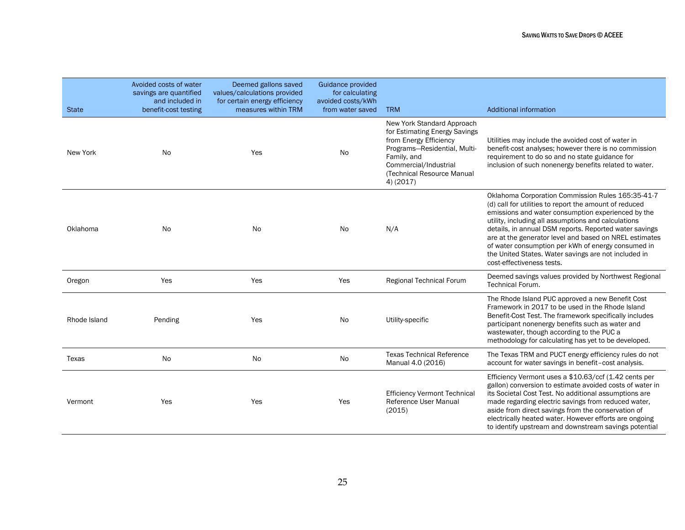| <b>State</b> | Avoided costs of water<br>savings are quantified<br>and included in<br>benefit-cost testing | Deemed gallons saved<br>values/calculations provided<br>for certain energy efficiency<br>measures within TRM | Guidance provided<br>for calculating<br>avoided costs/kWh<br>from water saved | <b>TRM</b>                                                                                                                                                                                               | <b>Additional information</b>                                                                                                                                                                                                                                                                                                                                                                                                                                                           |
|--------------|---------------------------------------------------------------------------------------------|--------------------------------------------------------------------------------------------------------------|-------------------------------------------------------------------------------|----------------------------------------------------------------------------------------------------------------------------------------------------------------------------------------------------------|-----------------------------------------------------------------------------------------------------------------------------------------------------------------------------------------------------------------------------------------------------------------------------------------------------------------------------------------------------------------------------------------------------------------------------------------------------------------------------------------|
| New York     | No.                                                                                         | Yes                                                                                                          | No                                                                            | New York Standard Approach<br>for Estimating Energy Savings<br>from Energy Efficiency<br>Programs-Residential, Multi-<br>Family, and<br>Commercial/Industrial<br>(Technical Resource Manual<br>4) (2017) | Utilities may include the avoided cost of water in<br>benefit-cost analyses; however there is no commission<br>requirement to do so and no state guidance for<br>inclusion of such nonenergy benefits related to water.                                                                                                                                                                                                                                                                 |
| Oklahoma     | <b>No</b>                                                                                   | No                                                                                                           | No.                                                                           | N/A                                                                                                                                                                                                      | Oklahoma Corporation Commission Rules 165:35-41-7<br>(d) call for utilities to report the amount of reduced<br>emissions and water consumption experienced by the<br>utility, including all assumptions and calculations<br>details, in annual DSM reports. Reported water savings<br>are at the generator level and based on NREL estimates<br>of water consumption per kWh of energy consumed in<br>the United States. Water savings are not included in<br>cost-effectiveness tests. |
| Oregon       | Yes                                                                                         | Yes                                                                                                          | Yes                                                                           | Regional Technical Forum                                                                                                                                                                                 | Deemed savings values provided by Northwest Regional<br><b>Technical Forum.</b>                                                                                                                                                                                                                                                                                                                                                                                                         |
| Rhode Island | Pending                                                                                     | Yes                                                                                                          | No.                                                                           | Utility-specific                                                                                                                                                                                         | The Rhode Island PUC approved a new Benefit Cost<br>Framework in 2017 to be used in the Rhode Island<br>Benefit-Cost Test. The framework specifically includes<br>participant nonenergy benefits such as water and<br>wastewater, though according to the PUC a<br>methodology for calculating has yet to be developed.                                                                                                                                                                 |
| Texas        | <b>No</b>                                                                                   | <b>No</b>                                                                                                    | <b>No</b>                                                                     | <b>Texas Technical Reference</b><br>Manual 4.0 (2016)                                                                                                                                                    | The Texas TRM and PUCT energy efficiency rules do not<br>account for water savings in benefit-cost analysis.                                                                                                                                                                                                                                                                                                                                                                            |
| Vermont      | Yes                                                                                         | Yes                                                                                                          | Yes                                                                           | <b>Efficiency Vermont Technical</b><br>Reference User Manual<br>(2015)                                                                                                                                   | Efficiency Vermont uses a \$10.63/ccf (1.42 cents per<br>gallon) conversion to estimate avoided costs of water in<br>its Societal Cost Test. No additional assumptions are<br>made regarding electric savings from reduced water,<br>aside from direct savings from the conservation of<br>electrically heated water. However efforts are ongoing<br>to identify upstream and downstream savings potential                                                                              |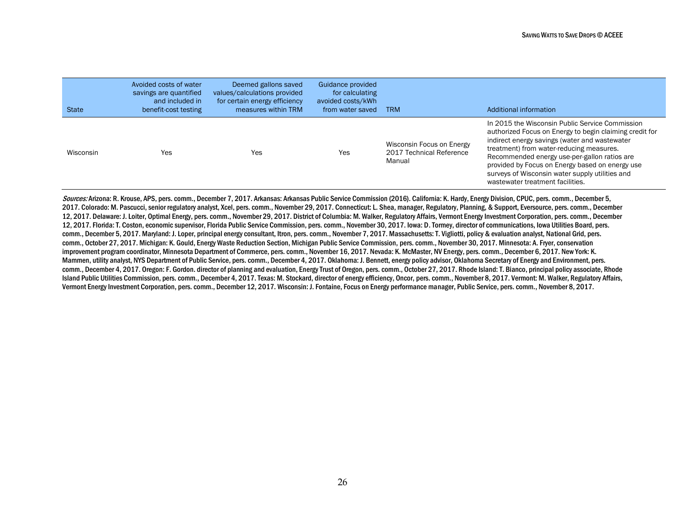| <b>State</b> | Avoided costs of water<br>savings are quantified<br>and included in<br>benefit-cost testing | Deemed gallons saved<br>values/calculations provided<br>for certain energy efficiency<br>measures within TRM | Guidance provided<br>for calculating<br>avoided costs/kWh<br>from water saved | <b>TRM</b>                                                      | Additional information                                                                                                                                                                                                                                                                                                                                                                            |
|--------------|---------------------------------------------------------------------------------------------|--------------------------------------------------------------------------------------------------------------|-------------------------------------------------------------------------------|-----------------------------------------------------------------|---------------------------------------------------------------------------------------------------------------------------------------------------------------------------------------------------------------------------------------------------------------------------------------------------------------------------------------------------------------------------------------------------|
| Wisconsin    | Yes                                                                                         | Yes                                                                                                          | Yes                                                                           | Wisconsin Focus on Energy<br>2017 Technical Reference<br>Manual | In 2015 the Wisconsin Public Service Commission<br>authorized Focus on Energy to begin claiming credit for<br>indirect energy savings (water and wastewater<br>treatment) from water-reducing measures.<br>Recommended energy use-per-gallon ratios are<br>provided by Focus on Energy based on energy use<br>surveys of Wisconsin water supply utilities and<br>wastewater treatment facilities. |

Sources: Arizona: R. Krouse, APS, pers. comm., December 7, 2017. Arkansas: Arkansas Public Service Commission (2016). California: K. Hardy, Energy Division, CPUC, pers. comm., December 5, 2017. Colorado: M. Pascucci, senior regulatory analyst, Xcel, pers. comm., November 29, 2017. Connecticut: L. Shea, manager, Regulatory, Planning, & Support, Eversource, pers. comm., December 12, 2017. Delaware: J. Loiter, Optimal Energy, pers. comm., November 29, 2017. District of Columbia: M. Walker, Regulatory Affairs, Vermont Energy Investment Corporation, pers. comm., December 12, 2017. Florida: T. Coston, economic supervisor, Florida Public Service Commission, pers. comm., November 30, 2017. Iowa: D. Tormey, director of communications, Iowa Utilities Board, pers. comm., December 5, 2017. Maryland: J. Loper, principal energy consultant, Itron, pers. comm., November 7, 2017. Massachusetts: T. Vigliotti, policy & evaluation analyst, National Grid, pers. comm., October 27, 2017. Michigan: K. Gould, Energy Waste Reduction Section, Michigan Public Service Commission, pers. comm., November 30, 2017. Minnesota: A. Fryer, conservation improvement program coordinator, Minnesota Department of Commerce, pers. comm., November 16, 2017. Nevada: K. McMaster, NV Energy, pers. comm., December 6, 2017. New York: K. Mammen, utility analyst, NYS Department of Public Service, pers. comm., December 4, 2017. Oklahoma: J. Bennett, energy policy advisor, Oklahoma Secretary of Energy and Environment, pers. comm., December 4, 2017. Oregon: F. Gordon. director of planning and evaluation, Energy Trust of Oregon, pers. comm., October 27, 2017. Rhode Island: T. Bianco, principal policy associate, Rhode Island Public Utilities Commission, pers. comm., December 4, 2017. Texas: M. Stockard, director of energy efficiency, Oncor, pers. comm., November 8, 2017. Vermont: M. Walker, Regulatory Affairs, Vermont Energy Investment Corporation, pers. comm., December 12, 2017. Wisconsin: J. Fontaine, Focus on Energy performance manager, Public Service, pers. comm., November 8, 2017.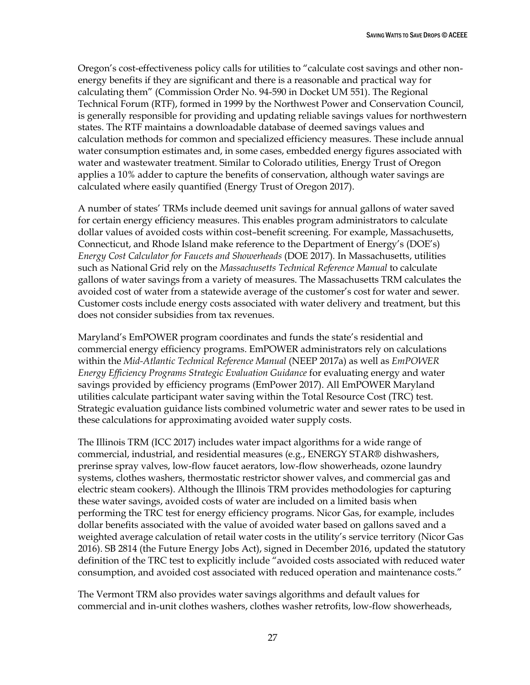Oregon's cost-effectiveness policy calls for utilities to "calculate cost savings and other nonenergy benefits if they are significant and there is a reasonable and practical way for calculating them" (Commission Order No. 94-590 in Docket UM 551). The Regional Technical Forum (RTF), formed in 1999 by the Northwest Power and Conservation Council, is generally responsible for providing and updating reliable savings values for northwestern states. The RTF maintains a downloadable database of deemed savings values and calculation methods for common and specialized efficiency measures. These include annual water consumption estimates and, in some cases, embedded energy figures associated with water and wastewater treatment. Similar to Colorado utilities, Energy Trust of Oregon applies a 10% adder to capture the benefits of conservation, although water savings are calculated where easily quantified (Energy Trust of Oregon 2017).

A number of states' TRMs include deemed unit savings for annual gallons of water saved for certain energy efficiency measures. This enables program administrators to calculate dollar values of avoided costs within cost–benefit screening. For example, Massachusetts, Connecticut, and Rhode Island make reference to the Department of Energy's (DOE's) *Energy Cost Calculator for Faucets and Showerheads* (DOE 2017)*.* In Massachusetts, utilities such as National Grid rely on the *Massachusetts Technical Reference Manual* to calculate gallons of water savings from a variety of measures. The Massachusetts TRM calculates the avoided cost of water from a statewide average of the customer's cost for water and sewer. Customer costs include energy costs associated with water delivery and treatment, but this does not consider subsidies from tax revenues.

Maryland's EmPOWER program coordinates and funds the state's residential and commercial energy efficiency programs. EmPOWER administrators rely on calculations within the *Mid-Atlantic Technical Reference Manual* (NEEP 2017a) as well as *EmPOWER Energy Efficiency Programs Strategic Evaluation Guidance* for evaluating energy and water savings provided by efficiency programs (EmPower 2017). All EmPOWER Maryland utilities calculate participant water saving within the Total Resource Cost (TRC) test. Strategic evaluation guidance lists combined volumetric water and sewer rates to be used in these calculations for approximating avoided water supply costs.

The Illinois TRM (ICC 2017) includes water impact algorithms for a wide range of commercial, industrial, and residential measures (e.g., ENERGY STAR® dishwashers, prerinse spray valves, low-flow faucet aerators, low-flow showerheads, ozone laundry systems, clothes washers, thermostatic restrictor shower valves, and commercial gas and electric steam cookers). Although the Illinois TRM provides methodologies for capturing these water savings, avoided costs of water are included on a limited basis when performing the TRC test for energy efficiency programs. Nicor Gas, for example, includes dollar benefits associated with the value of avoided water based on gallons saved and a weighted average calculation of retail water costs in the utility's service territory (Nicor Gas 2016). SB 2814 (the Future Energy Jobs Act), signed in December 2016, updated the statutory definition of the TRC test to explicitly include "avoided costs associated with reduced water consumption, and avoided cost associated with reduced operation and maintenance costs."

The Vermont TRM also provides water savings algorithms and default values for commercial and in-unit clothes washers, clothes washer retrofits, low-flow showerheads,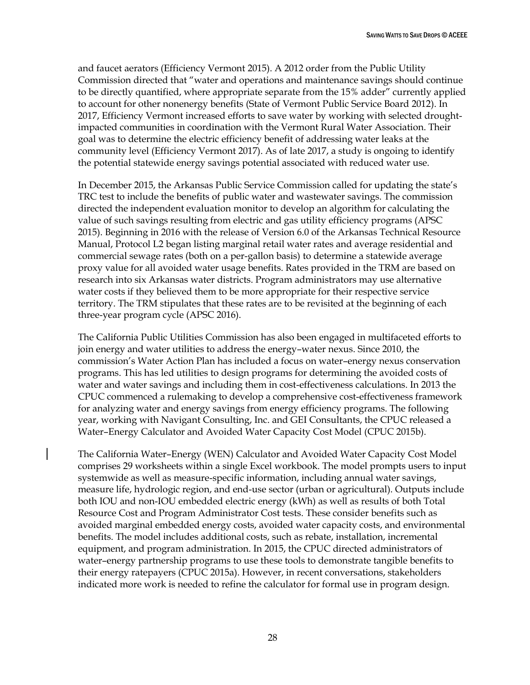and faucet aerators (Efficiency Vermont 2015). A 2012 order from the Public Utility Commission directed that "water and operations and maintenance savings should continue to be directly quantified, where appropriate separate from the 15% adder" currently applied to account for other nonenergy benefits (State of Vermont Public Service Board 2012). In 2017, Efficiency Vermont increased efforts to save water by working with selected droughtimpacted communities in coordination with the Vermont Rural Water Association. Their goal was to determine the electric efficiency benefit of addressing water leaks at the community level (Efficiency Vermont 2017). As of late 2017, a study is ongoing to identify the potential statewide energy savings potential associated with reduced water use.

In December 2015, the Arkansas Public Service Commission called for updating the state's TRC test to include the benefits of public water and wastewater savings. The commission directed the independent evaluation monitor to develop an algorithm for calculating the value of such savings resulting from electric and gas utility efficiency programs (APSC 2015). Beginning in 2016 with the release of Version 6.0 of the Arkansas Technical Resource Manual, Protocol L2 began listing marginal retail water rates and average residential and commercial sewage rates (both on a per-gallon basis) to determine a statewide average proxy value for all avoided water usage benefits. Rates provided in the TRM are based on research into six Arkansas water districts. Program administrators may use alternative water costs if they believed them to be more appropriate for their respective service territory. The TRM stipulates that these rates are to be revisited at the beginning of each three-year program cycle (APSC 2016).

The California Public Utilities Commission has also been engaged in multifaceted efforts to join energy and water utilities to address the energy–water nexus. Since 2010, the commission's Water Action Plan has included a focus on water–energy nexus conservation programs. This has led utilities to design programs for determining the avoided costs of water and water savings and including them in cost-effectiveness calculations. In 2013 the CPUC commenced a rulemaking to develop a comprehensive cost-effectiveness framework for analyzing water and energy savings from energy efficiency programs. The following year, working with Navigant Consulting, Inc. and GEI Consultants, the CPUC released a Water–Energy Calculator and Avoided Water Capacity Cost Model (CPUC 2015b).

The California Water–Energy (WEN) Calculator and Avoided Water Capacity Cost Model comprises 29 worksheets within a single Excel workbook. The model prompts users to input systemwide as well as measure-specific information, including annual water savings, measure life, hydrologic region, and end-use sector (urban or agricultural). Outputs include both IOU and non-IOU embedded electric energy (kWh) as well as results of both Total Resource Cost and Program Administrator Cost tests. These consider benefits such as avoided marginal embedded energy costs, avoided water capacity costs, and environmental benefits. The model includes additional costs, such as rebate, installation, incremental equipment, and program administration. In 2015, the CPUC directed administrators of water–energy partnership programs to use these tools to demonstrate tangible benefits to their energy ratepayers (CPUC 2015a). However, in recent conversations, stakeholders indicated more work is needed to refine the calculator for formal use in program design.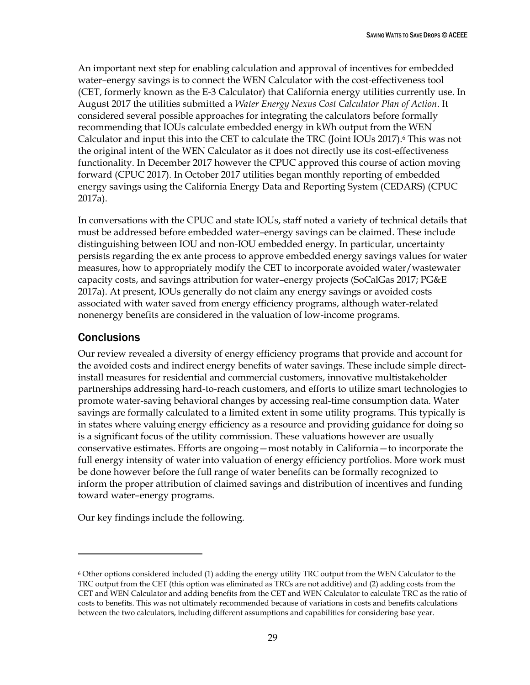An important next step for enabling calculation and approval of incentives for embedded water–energy savings is to connect the WEN Calculator with the cost-effectiveness tool (CET, formerly known as the E-3 Calculator) that California energy utilities currently use. In August 2017 the utilities submitted a *Water Energy Nexus Cost Calculator Plan of Action*. It considered several possible approaches for integrating the calculators before formally recommending that IOUs calculate embedded energy in kWh output from the WEN Calculator and input this into the CET to calculate the TRC (Joint IOUs 2017).<sup>6</sup> This was not the original intent of the WEN Calculator as it does not directly use its cost-effectiveness functionality. In December 2017 however the CPUC approved this course of action moving forward (CPUC 2017). In October 2017 utilities began monthly reporting of embedded energy savings using the California Energy Data and Reporting System (CEDARS) (CPUC 2017a).

In conversations with the CPUC and state IOUs, staff noted a variety of technical details that must be addressed before embedded water–energy savings can be claimed. These include distinguishing between IOU and non-IOU embedded energy. In particular, uncertainty persists regarding the ex ante process to approve embedded energy savings values for water measures, how to appropriately modify the CET to incorporate avoided water/wastewater capacity costs, and savings attribution for water–energy projects (SoCalGas 2017; PG&E 2017a). At present, IOUs generally do not claim any energy savings or avoided costs associated with water saved from energy efficiency programs, although water-related nonenergy benefits are considered in the valuation of low-income programs.

## <span id="page-35-0"></span>**Conclusions**

 $\overline{a}$ 

Our review revealed a diversity of energy efficiency programs that provide and account for the avoided costs and indirect energy benefits of water savings. These include simple directinstall measures for residential and commercial customers, innovative multistakeholder partnerships addressing hard-to-reach customers, and efforts to utilize smart technologies to promote water-saving behavioral changes by accessing real-time consumption data. Water savings are formally calculated to a limited extent in some utility programs. This typically is in states where valuing energy efficiency as a resource and providing guidance for doing so is a significant focus of the utility commission. These valuations however are usually conservative estimates. Efforts are ongoing—most notably in California—to incorporate the full energy intensity of water into valuation of energy efficiency portfolios. More work must be done however before the full range of water benefits can be formally recognized to inform the proper attribution of claimed savings and distribution of incentives and funding toward water–energy programs.

Our key findings include the following.

<sup>6</sup> Other options considered included (1) adding the energy utility TRC output from the WEN Calculator to the TRC output from the CET (this option was eliminated as TRCs are not additive) and (2) adding costs from the CET and WEN Calculator and adding benefits from the CET and WEN Calculator to calculate TRC as the ratio of costs to benefits. This was not ultimately recommended because of variations in costs and benefits calculations between the two calculators, including different assumptions and capabilities for considering base year.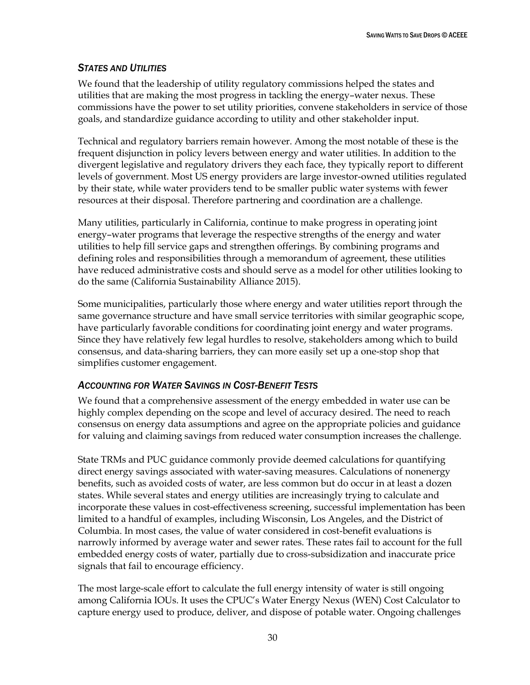#### *STATES AND UTILITIES*

We found that the leadership of utility regulatory commissions helped the states and utilities that are making the most progress in tackling the energy–water nexus. These commissions have the power to set utility priorities, convene stakeholders in service of those goals, and standardize guidance according to utility and other stakeholder input.

Technical and regulatory barriers remain however. Among the most notable of these is the frequent disjunction in policy levers between energy and water utilities. In addition to the divergent legislative and regulatory drivers they each face, they typically report to different levels of government. Most US energy providers are large investor-owned utilities regulated by their state, while water providers tend to be smaller public water systems with fewer resources at their disposal. Therefore partnering and coordination are a challenge.

Many utilities, particularly in California, continue to make progress in operating joint energy–water programs that leverage the respective strengths of the energy and water utilities to help fill service gaps and strengthen offerings. By combining programs and defining roles and responsibilities through a memorandum of agreement, these utilities have reduced administrative costs and should serve as a model for other utilities looking to do the same (California Sustainability Alliance 2015).

Some municipalities, particularly those where energy and water utilities report through the same governance structure and have small service territories with similar geographic scope, have particularly favorable conditions for coordinating joint energy and water programs. Since they have relatively few legal hurdles to resolve, stakeholders among which to build consensus, and data-sharing barriers, they can more easily set up a one-stop shop that simplifies customer engagement.

### *ACCOUNTING FOR WATER SAVINGS IN COST-BENEFIT TESTS*

We found that a comprehensive assessment of the energy embedded in water use can be highly complex depending on the scope and level of accuracy desired. The need to reach consensus on energy data assumptions and agree on the appropriate policies and guidance for valuing and claiming savings from reduced water consumption increases the challenge.

State TRMs and PUC guidance commonly provide deemed calculations for quantifying direct energy savings associated with water-saving measures. Calculations of nonenergy benefits, such as avoided costs of water, are less common but do occur in at least a dozen states. While several states and energy utilities are increasingly trying to calculate and incorporate these values in cost-effectiveness screening, successful implementation has been limited to a handful of examples, including Wisconsin, Los Angeles, and the District of Columbia. In most cases, the value of water considered in cost-benefit evaluations is narrowly informed by average water and sewer rates. These rates fail to account for the full embedded energy costs of water, partially due to cross-subsidization and inaccurate price signals that fail to encourage efficiency.

The most large-scale effort to calculate the full energy intensity of water is still ongoing among California IOUs. It uses the CPUC's Water Energy Nexus (WEN) Cost Calculator to capture energy used to produce, deliver, and dispose of potable water. Ongoing challenges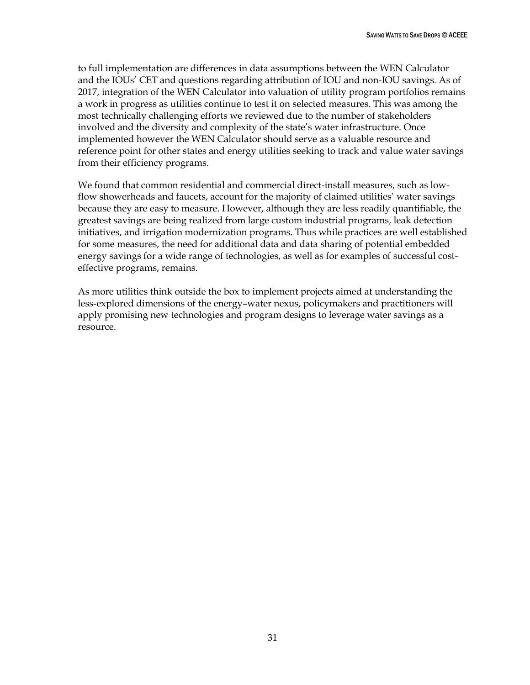to full implementation are differences in data assumptions between the WEN Calculator and the IOUs' CET and questions regarding attribution of IOU and non-IOU savings. As of 2017, integration of the WEN Calculator into valuation of utility program portfolios remains a work in progress as utilities continue to test it on selected measures. This was among the most technically challenging efforts we reviewed due to the number of stakeholders involved and the diversity and complexity of the state's water infrastructure. Once implemented however the WEN Calculator should serve as a valuable resource and reference point for other states and energy utilities seeking to track and value water savings from their efficiency programs.

We found that common residential and commercial direct-install measures, such as lowflow showerheads and faucets, account for the majority of claimed utilities' water savings because they are easy to measure. However, although they are less readily quantifiable, the greatest savings are being realized from large custom industrial programs, leak detection initiatives, and irrigation modernization programs. Thus while practices are well established for some measures, the need for additional data and data sharing of potential embedded energy savings for a wide range of technologies, as well as for examples of successful costeffective programs, remains.

As more utilities think outside the box to implement projects aimed at understanding the less-explored dimensions of the energy–water nexus, policymakers and practitioners will apply promising new technologies and program designs to leverage water savings as a resource.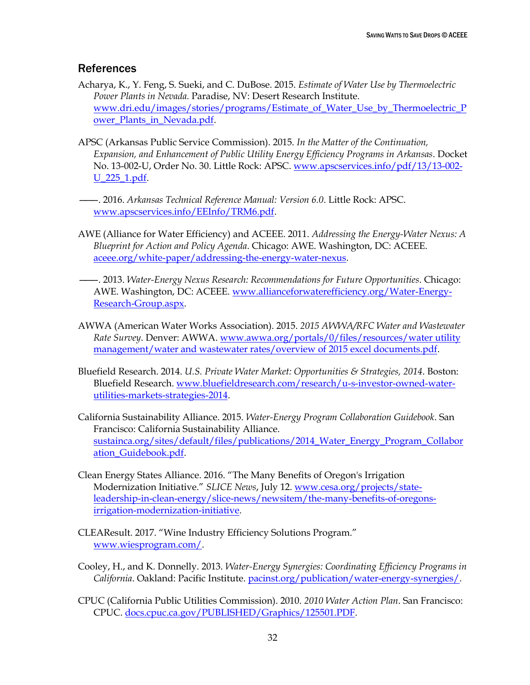### <span id="page-38-0"></span>**References**

- Acharya, K., Y. Feng, S. Sueki, and C. DuBose. 2015. *Estimate of Water Use by Thermoelectric Power Plants in Nevada.* Paradise, NV: Desert Research Institute. [www.dri.edu/images/stories/programs/Estimate\\_of\\_Water\\_Use\\_by\\_Thermoelectric\\_P](https://www.dri.edu/images/stories/programs/Estimate_of_Water_Use_by_Thermoelectric_Power_Plants_in_Nevada.pdf) ower Plants in Nevada.pdf.
- APSC (Arkansas Public Service Commission). 2015. *In the Matter of the Continuation, Expansion, and Enhancement of Public Utility Energy Efficiency Programs in Arkansas*. Docket No. 13-002-U, Order No. 30. Little Rock: APSC. [www.apscservices.info/pdf/13/13-002-](http://www.apscservices.info/pdf/13/13-002-U_225_1.pdf) [U\\_225\\_1.pdf.](http://www.apscservices.info/pdf/13/13-002-U_225_1.pdf)
- ———. 2016. *Arkansas Technical Reference Manual: Version 6.0*. Little Rock: APSC. [www.apscservices.info/EEInfo/TRM6.pdf.](http://www.apscservices.info/EEInfo/TRM6.pdf)
- AWE (Alliance for Water Efficiency) and ACEEE. 2011. *Addressing the Energy-Water Nexus: A Blueprint for Action and Policy Agenda*. Chicago: AWE. Washington, DC: ACEEE. [aceee.org/white-paper/addressing-the-energy-water-nexus.](http://aceee.org/white-paper/addressing-the-energy-water-nexus)
- ———. 2013. *Water-Energy Nexus Research: Recommendations for Future Opportunities*. Chicago: AWE. Washington, DC: ACEEE. [www.allianceforwaterefficiency.org/Water-Energy-](http://www.allianceforwaterefficiency.org/Water-Energy-Research-Group.aspx)[Research-Group.aspx.](http://www.allianceforwaterefficiency.org/Water-Energy-Research-Group.aspx)
- AWWA (American Water Works Association). 2015. *2015 AWWA/RFC Water and Wastewater Rate Survey*. Denver: AWWA. [www.awwa.org/portals/0/files/resources/water utility](http://www.awwa.org/portals/0/files/resources/water%20utility%20management/water%20and%20wastewater%20rates/overview%20of%202015%20excel%20documents.pdf)  [management/water and wastewater rates/overview of 2015 excel documents.pdf.](http://www.awwa.org/portals/0/files/resources/water%20utility%20management/water%20and%20wastewater%20rates/overview%20of%202015%20excel%20documents.pdf)
- Bluefield Research. 2014. *U.S. Private Water Market: Opportunities & Strategies, 2014*. Boston: Bluefield Research. [www.bluefieldresearch.com/research/u-s-investor-owned-water](http://www.bluefieldresearch.com/research/u-s-investor-owned-water-utilities-markets-strategies-2014)[utilities-markets-strategies-2014.](http://www.bluefieldresearch.com/research/u-s-investor-owned-water-utilities-markets-strategies-2014)
- California Sustainability Alliance. 2015. *Water-Energy Program Collaboration Guidebook*. San Francisco: California Sustainability Alliance. [sustainca.org/sites/default/files/publications/2014\\_Water\\_Energy\\_Program\\_Collabor](https://sustainca.org/sites/default/files/publications/2014_Water_Energy_Program_Collaboration_Guidebook.pdf) [ation\\_Guidebook.pdf.](https://sustainca.org/sites/default/files/publications/2014_Water_Energy_Program_Collaboration_Guidebook.pdf)
- Clean Energy States Alliance. 2016. "The Many Benefits of Oregon's Irrigation Modernization Initiative." *SLICE News*, July 12. [www.cesa.org/projects/state](https://www.cesa.org/projects/state-leadership-in-clean-energy/slice-news/newsitem/the-many-benefits-of-oregons-irrigation-modernization-initiative)[leadership-in-clean-energy/slice-news/newsitem/the-many-benefits-of-oregons](https://www.cesa.org/projects/state-leadership-in-clean-energy/slice-news/newsitem/the-many-benefits-of-oregons-irrigation-modernization-initiative)[irrigation-modernization-initiative.](https://www.cesa.org/projects/state-leadership-in-clean-energy/slice-news/newsitem/the-many-benefits-of-oregons-irrigation-modernization-initiative)
- CLEAResult. 2017. "Wine Industry Efficiency Solutions Program." [www.wiesprogram.com/.](http://www.wiesprogram.com/)
- Cooley, H., and K. Donnelly. 2013. *Water-Energy Synergies: Coordinating Efficiency Programs in California*. Oakland: Pacific Institute. [pacinst.org/publication/water-energy-synergies/.](http://pacinst.org/publication/water-energy-synergies/)
- CPUC (California Public Utilities Commission). 2010. *2010 Water Action Plan*. San Francisco: CPUC. [docs.cpuc.ca.gov/PUBLISHED/Graphics/125501.PDF.](http://docs.cpuc.ca.gov/PUBLISHED/Graphics/125501.PDF)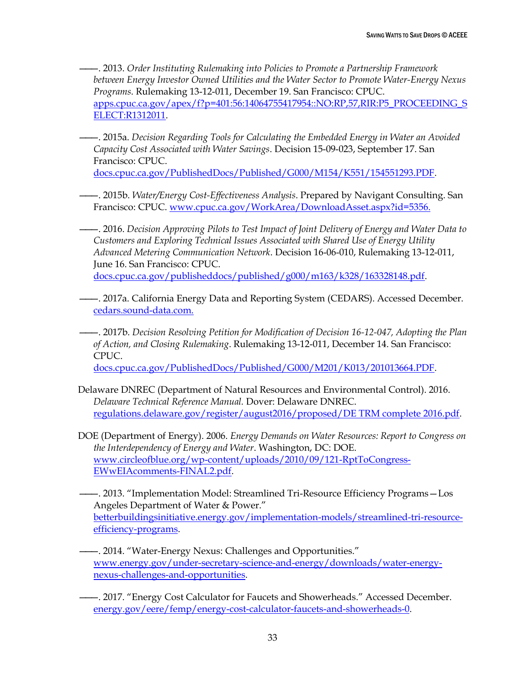———. 2013. *Order Instituting Rulemaking into Policies to Promote a Partnership Framework between Energy Investor Owned Utilities and the Water Sector to Promote Water-Energy Nexus Programs*. Rulemaking 13-12-011, December 19. San Francisco: CPUC. [apps.cpuc.ca.gov/apex/f?p=401:56:14064755417954::NO:RP,57,RIR:P5\\_PROCEEDING\\_S](https://apps.cpuc.ca.gov/apex/f?p=401:56:14064755417954::NO:RP,57,RIR:P5_PROCEEDING_SELECT:R1312011) [ELECT:R1312011.](https://apps.cpuc.ca.gov/apex/f?p=401:56:14064755417954::NO:RP,57,RIR:P5_PROCEEDING_SELECT:R1312011)

———. 2015a. *Decision Regarding Tools for Calculating the Embedded Energy in Water an Avoided Capacity Cost Associated with Water Savings*. Decision 15-09-023, September 17. San Francisco: CPUC.

[docs.cpuc.ca.gov/PublishedDocs/Published/G000/M154/K551/154551293.PDF.](http://docs.cpuc.ca.gov/PublishedDocs/Published/G000/M154/K551/154551293.PDF)

- ———. 2015b. *Water/Energy Cost-Effectiveness Analysis*. Prepared by Navigant Consulting. San Francisco: CPUC. [www.cpuc.ca.gov/WorkArea/DownloadAsset.aspx?id=5356.](http://www.cpuc.ca.gov/WorkArea/DownloadAsset.aspx?id=5356)
- ———. 2016. *Decision Approving Pilots to Test Impact of Joint Delivery of Energy and Water Data to Customers and Exploring Technical Issues Associated with Shared Use of Energy Utility Advanced Metering Communication Network*. Decision 16-06-010, Rulemaking 13-12-011, June 16. San Francisco: CPUC. [docs.cpuc.ca.gov/publisheddocs/published/g000/m163/k328/163328148.pdf.](http://docs.cpuc.ca.gov/publisheddocs/published/g000/m163/k328/163328148.pdf)
- ———. 2017a. California Energy Data and Reporting System (CEDARS). Accessed December. [cedars.sound-data.com.](file:///C:/Users/Fred/Dropbox/ACEEE/Weston/cedars.sound-data.com)
- ———. 2017b. *Decision Resolving Petition for Modification of Decision 16-12-047, Adopting the Plan of Action, and Closing Rulemaking*. Rulemaking 13-12-011, December 14. San Francisco: CPUC.

[docs.cpuc.ca.gov/PublishedDocs/Published/G000/M201/K013/201013664.PDF.](http://docs.cpuc.ca.gov/PublishedDocs/Published/G000/M201/K013/201013664.PDF)

- Delaware DNREC (Department of Natural Resources and Environmental Control). 2016. *Delaware Technical Reference Manual.* Dover: Delaware DNREC. [regulations.delaware.gov/register/august2016/proposed/DE TRM complete 2016.pdf.](http://regulations.delaware.gov/register/august2016/proposed/DE%20TRM%20complete%202016.pdf)
- DOE (Department of Energy). 2006. *Energy Demands on Water Resources: Report to Congress on the Interdependency of Energy and Water*. Washington, DC: DOE. [www.circleofblue.org/wp-content/uploads/2010/09/121-RptToCongress-](http://www.circleofblue.org/wp-content/uploads/2010/09/121-RptToCongress-EWwEIAcomments-FINAL2.pdf)[EWwEIAcomments-FINAL2.pdf.](http://www.circleofblue.org/wp-content/uploads/2010/09/121-RptToCongress-EWwEIAcomments-FINAL2.pdf)
- ———. 2013. "Implementation Model: Streamlined Tri-Resource Efficiency Programs—Los Angeles Department of Water & Power." [betterbuildingsinitiative.energy.gov/implementation-models/streamlined-tri-resource](https://betterbuildingsinitiative.energy.gov/implementation-models/streamlined-tri-resource-efficiency-programs)[efficiency-programs.](https://betterbuildingsinitiative.energy.gov/implementation-models/streamlined-tri-resource-efficiency-programs)
- ———. 2014. "Water-Energy Nexus: Challenges and Opportunities." [www.energy.gov/under-secretary-science-and-energy/downloads/water-energy](https://www.energy.gov/under-secretary-science-and-energy/downloads/water-energy-nexus-challenges-and-opportunities)[nexus-challenges-and-opportunities.](https://www.energy.gov/under-secretary-science-and-energy/downloads/water-energy-nexus-challenges-and-opportunities)
- ———. 2017. "Energy Cost Calculator for Faucets and Showerheads." Accessed December. [energy.gov/eere/femp/energy-cost-calculator-faucets-and-showerheads-0.](https://energy.gov/eere/femp/energy-cost-calculator-faucets-and-showerheads-0)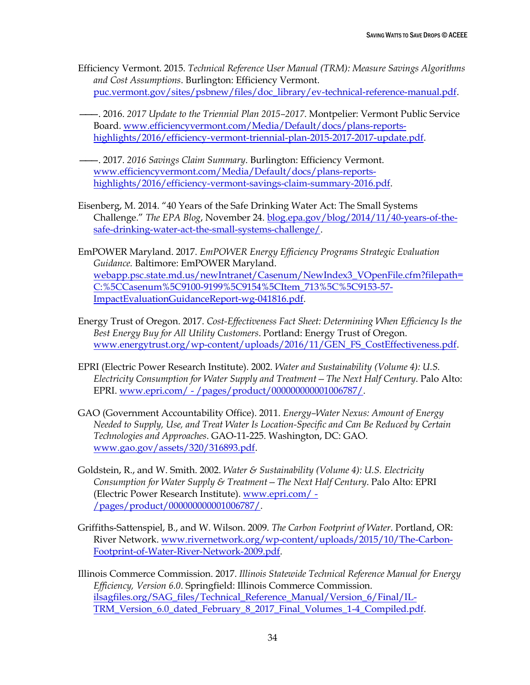- Efficiency Vermont. 2015. *Technical Reference User Manual (TRM): Measure Savings Algorithms and Cost Assumptions*. Burlington: Efficiency Vermont. [puc.vermont.gov/sites/psbnew/files/doc\\_library/ev-technical-reference-manual.pdf.](http://puc.vermont.gov/sites/psbnew/files/doc_library/ev-technical-reference-manual.pdf)
- ———. 2016. *2017 Update to the Triennial Plan 2015–2017*. Montpelier: Vermont Public Service Board. [www.efficiencyvermont.com/Media/Default/docs/plans-reports](https://www.efficiencyvermont.com/Media/Default/docs/plans-reports-highlights/2016/efficiency-vermont-triennial-plan-2015-2017-2017-update.pdf)[highlights/2016/efficiency-vermont-triennial-plan-2015-2017-2017-update.pdf.](https://www.efficiencyvermont.com/Media/Default/docs/plans-reports-highlights/2016/efficiency-vermont-triennial-plan-2015-2017-2017-update.pdf)
- ———. 2017. *2016 Savings Claim Summary*. Burlington: Efficiency Vermont. [www.efficiencyvermont.com/Media/Default/docs/plans-reports](https://www.efficiencyvermont.com/Media/Default/docs/plans-reports-highlights/2016/efficiency-vermont-savings-claim-summary-2016.pdf)[highlights/2016/efficiency-vermont-savings-claim-summary-2016.pdf.](https://www.efficiencyvermont.com/Media/Default/docs/plans-reports-highlights/2016/efficiency-vermont-savings-claim-summary-2016.pdf)
- Eisenberg, M. 2014. "40 Years of the Safe Drinking Water Act: The Small Systems Challenge." *The EPA Blog*, November 24. [blog.epa.gov/blog/2014/11/40-years-of-the](https://blog.epa.gov/blog/2014/11/40-years-of-the-safe-drinking-water-act-the-small-systems-challenge/)[safe-drinking-water-act-the-small-systems-challenge/.](https://blog.epa.gov/blog/2014/11/40-years-of-the-safe-drinking-water-act-the-small-systems-challenge/)
- EmPOWER Maryland. 2017. *EmPOWER Energy Efficiency Programs Strategic Evaluation Guidance.* Baltimore: EmPOWER Maryland. [webapp.psc.state.md.us/newIntranet/Casenum/NewIndex3\\_VOpenFile.cfm?filepath=](http://webapp.psc.state.md.us/newIntranet/Casenum/NewIndex3_VOpenFile.cfm?filepath=C:%5CCasenum%5C9100-9199%5C9154%5CItem_713%5C%5C9153-57-ImpactEvaluationGuidanceReport-wg-041816.pdf) [C:%5CCasenum%5C9100-9199%5C9154%5CItem\\_713%5C%5C9153-57-](http://webapp.psc.state.md.us/newIntranet/Casenum/NewIndex3_VOpenFile.cfm?filepath=C:%5CCasenum%5C9100-9199%5C9154%5CItem_713%5C%5C9153-57-ImpactEvaluationGuidanceReport-wg-041816.pdf) [ImpactEvaluationGuidanceReport-wg-041816.pdf.](http://webapp.psc.state.md.us/newIntranet/Casenum/NewIndex3_VOpenFile.cfm?filepath=C:%5CCasenum%5C9100-9199%5C9154%5CItem_713%5C%5C9153-57-ImpactEvaluationGuidanceReport-wg-041816.pdf)
- Energy Trust of Oregon. 2017. *Cost-Effectiveness Fact Sheet: Determining When Efficiency Is the Best Energy Buy for All Utility Customers*. Portland: Energy Trust of Oregon. [www.energytrust.org/wp-content/uploads/2016/11/GEN\\_FS\\_CostEffectiveness.pdf.](https://www.energytrust.org/wp-content/uploads/2016/11/GEN_FS_CostEffectiveness.pdf)
- EPRI (Electric Power Research Institute). 2002. *Water and Sustainability (Volume 4): U.S. Electricity Consumption for Water Supply and Treatment—The Next Half Century*. Palo Alto: EPRI. www.epri.com/ - [/pages/product/000000000001006787/.](https://www.epri.com/#/pages/product/000000000001006787/)
- GAO (Government Accountability Office). 2011. *Energy–Water Nexus: Amount of Energy Needed to Supply, Use, and Treat Water Is Location-Specific and Can Be Reduced by Certain Technologies and Approaches*. GAO-11-225. Washington, DC: GAO. [www.gao.gov/assets/320/316893.pdf.](https://www.gao.gov/assets/320/316893.pdf)
- Goldstein, R., and W. Smith. 2002. *Water & Sustainability (Volume 4): U.S. Electricity Consumption for Water Supply & Treatment—The Next Half Century*. Palo Alto: EPRI (Electric Power Research Institute). [www.epri.com/ -](https://www.epri.com/#/pages/product/000000000001006787/) [/pages/product/000000000001006787/.](https://www.epri.com/#/pages/product/000000000001006787/)
- Griffiths-Sattenspiel, B., and W. Wilson. 2009. *The Carbon Footprint of Water*. Portland, OR: River Network. [www.rivernetwork.org/wp-content/uploads/2015/10/The-Carbon-](https://www.rivernetwork.org/wp-content/uploads/2015/10/The-Carbon-Footprint-of-Water-River-Network-2009.pdf)[Footprint-of-Water-River-Network-2009.pdf.](https://www.rivernetwork.org/wp-content/uploads/2015/10/The-Carbon-Footprint-of-Water-River-Network-2009.pdf)
- Illinois Commerce Commission. 2017. *Illinois Statewide Technical Reference Manual for Energy Efficiency, Version 6.0*. Springfield: Illinois Commerce Commission. [ilsagfiles.org/SAG\\_files/Technical\\_Reference\\_Manual/Version\\_6/Final/IL-](http://ilsagfiles.org/SAG_files/Technical_Reference_Manual/Version_6/Final/IL-TRM_Version_6.0_dated_February_8_2017_Final_Volumes_1-4_Compiled.pdf)[TRM\\_Version\\_6.0\\_dated\\_February\\_8\\_2017\\_Final\\_Volumes\\_1-4\\_Compiled.pdf.](http://ilsagfiles.org/SAG_files/Technical_Reference_Manual/Version_6/Final/IL-TRM_Version_6.0_dated_February_8_2017_Final_Volumes_1-4_Compiled.pdf)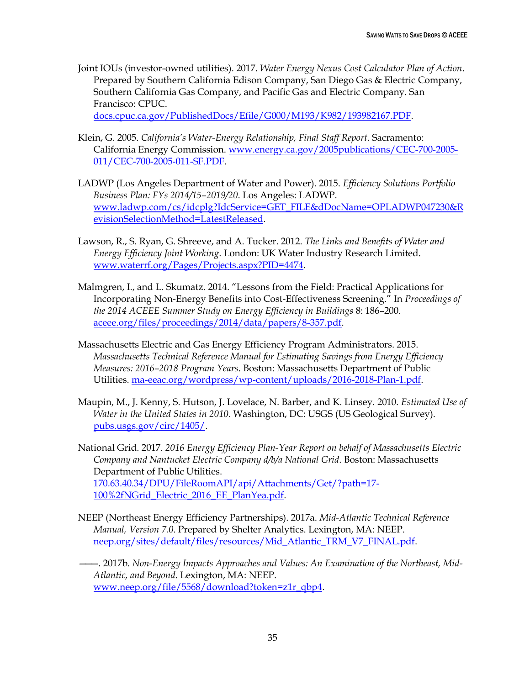Joint IOUs (investor-owned utilities). 2017. *Water Energy Nexus Cost Calculator Plan of Action*. Prepared by Southern California Edison Company, San Diego Gas & Electric Company, Southern California Gas Company, and Pacific Gas and Electric Company. San Francisco: CPUC.

[docs.cpuc.ca.gov/PublishedDocs/Efile/G000/M193/K982/193982167.PDF.](http://docs.cpuc.ca.gov/PublishedDocs/Efile/G000/M193/K982/193982167.PDF)

- Klein, G. 2005. *California's Water-Energy Relationship, Final Staff Report*. Sacramento: California Energy Commission. [www.energy.ca.gov/2005publications/CEC-700-2005-](http://www.energy.ca.gov/2005publications/CEC-700-2005-011/CEC-700-2005-011-SF.PDF) [011/CEC-700-2005-011-SF.PDF.](http://www.energy.ca.gov/2005publications/CEC-700-2005-011/CEC-700-2005-011-SF.PDF)
- LADWP (Los Angeles Department of Water and Power). 2015. *Efficiency Solutions Portfolio Business Plan: FYs 2014/15–2019/20*. Los Angeles: LADWP. [www.ladwp.com/cs/idcplg?IdcService=GET\\_FILE&dDocName=OPLADWP047230&R](https://www.ladwp.com/cs/idcplg?IdcService=GET_FILE&dDocName=OPLADWP047230&RevisionSelectionMethod=LatestReleased) [evisionSelectionMethod=LatestReleased.](https://www.ladwp.com/cs/idcplg?IdcService=GET_FILE&dDocName=OPLADWP047230&RevisionSelectionMethod=LatestReleased)
- Lawson, R., S. Ryan, G. Shreeve, and A. Tucker. 2012. *The Links and Benefits of Water and Energy Efficiency Joint Working*. London: UK Water Industry Research Limited. [www.waterrf.org/Pages/Projects.aspx?PID=4474.](http://www.waterrf.org/Pages/Projects.aspx?PID=4474)
- Malmgren, I., and L. Skumatz. 2014. "Lessons from the Field: Practical Applications for Incorporating Non-Energy Benefits into Cost-Effectiveness Screening." In *Proceedings of the 2014 ACEEE Summer Study on Energy Efficiency in Buildings* 8: 186–200. [aceee.org/files/proceedings/2014/data/papers/8-357.pdf.](http://aceee.org/files/proceedings/2014/data/papers/8-357.pdf)
- Massachusetts Electric and Gas Energy Efficiency Program Administrators. 2015. *Massachusetts Technical Reference Manual for Estimating Savings from Energy Efficiency Measures: 2016–2018 Program Years*. Boston: Massachusetts Department of Public Utilities. [ma-eeac.org/wordpress/wp-content/uploads/2016-2018-Plan-1.pdf.](http://ma-eeac.org/wordpress/wp-content/uploads/2016-2018-Plan-1.pdf)
- Maupin, M., J. Kenny, S. Hutson, J. Lovelace, N. Barber, and K. Linsey. 2010. *Estimated Use of Water in the United States in 2010*. Washington, DC: USGS (US Geological Survey). [pubs.usgs.gov/circ/1405/.](https://pubs.usgs.gov/circ/1405/)
- National Grid. 2017. *2016 Energy Efficiency Plan-Year Report on behalf of Massachusetts Electric Company and Nantucket Electric Company d/b/a National Grid*. Boston: Massachusetts Department of Public Utilities. [170.63.40.34/DPU/FileRoomAPI/api/Attachments/Get/?path=17-](http://170.63.40.34/DPU/FileRoomAPI/api/Attachments/Get/?path=17-100%2fNGrid_Electric_2016_EE_PlanYea.pdf) [100%2fNGrid\\_Electric\\_2016\\_EE\\_PlanYea.pdf.](http://170.63.40.34/DPU/FileRoomAPI/api/Attachments/Get/?path=17-100%2fNGrid_Electric_2016_EE_PlanYea.pdf)
- NEEP (Northeast Energy Efficiency Partnerships). 2017a. *Mid-Atlantic Technical Reference Manual, Version 7.0*. Prepared by Shelter Analytics. Lexington, MA: NEEP. [neep.org/sites/default/files/resources/Mid\\_Atlantic\\_TRM\\_V7\\_FINAL.pdf.](http://neep.org/sites/default/files/resources/Mid_Atlantic_TRM_V7_FINAL.pdf)

———. 2017b. *Non-Energy Impacts Approaches and Values: An Examination of the Northeast, Mid-Atlantic, and Beyond*. Lexington, MA: NEEP. [www.neep.org/file/5568/download?token=z1r\\_qbp4.](http://www.neep.org/file/5568/download?token=z1r_qbp4)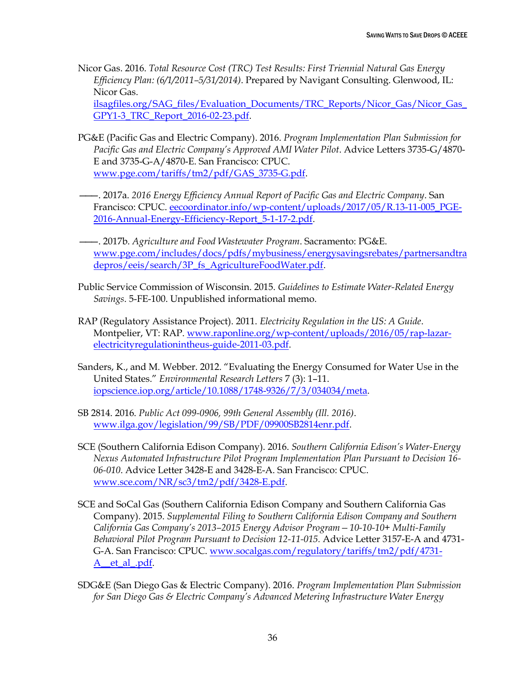Nicor Gas. 2016. *Total Resource Cost (TRC) Test Results: First Triennial Natural Gas Energy Efficiency Plan: (6/1/2011–5/31/2014)*. Prepared by Navigant Consulting. Glenwood, IL: Nicor Gas.

[ilsagfiles.org/SAG\\_files/Evaluation\\_Documents/TRC\\_Reports/Nicor\\_Gas/Nicor\\_Gas\\_](http://ilsagfiles.org/SAG_files/Evaluation_Documents/TRC_Reports/Nicor_Gas/Nicor_Gas_GPY1-3_TRC_Report_2016-02-23.pdf) [GPY1-3\\_TRC\\_Report\\_2016-02-23.pdf.](http://ilsagfiles.org/SAG_files/Evaluation_Documents/TRC_Reports/Nicor_Gas/Nicor_Gas_GPY1-3_TRC_Report_2016-02-23.pdf)

- PG&E (Pacific Gas and Electric Company). 2016. *Program Implementation Plan Submission for Pacific Gas and Electric Company's Approved AMI Water Pilot*. Advice Letters 3735-G/4870- E and 3735-G-A/4870-E. San Francisco: CPUC. [www.pge.com/tariffs/tm2/pdf/GAS\\_3735-G.pdf.](https://www.pge.com/tariffs/tm2/pdf/GAS_3735-G.pdf)
- ———. 2017a. *2016 Energy Efficiency Annual Report of Pacific Gas and Electric Company*. San Francisco: CPUC. [eecoordinator.info/wp-content/uploads/2017/05/R.13-11-005\\_PGE-](http://eecoordinator.info/wp-content/uploads/2017/05/R.13-11-005_PGE-2016-Annual-Energy-Efficiency-Report_5-1-17-2.pdf)[2016-Annual-Energy-Efficiency-Report\\_5-1-17-2.pdf.](http://eecoordinator.info/wp-content/uploads/2017/05/R.13-11-005_PGE-2016-Annual-Energy-Efficiency-Report_5-1-17-2.pdf)
- ———. 2017b. *Agriculture and Food Wastewater Program*. Sacramento: PG&E. [www.pge.com/includes/docs/pdfs/mybusiness/energysavingsrebates/partnersandtra](https://www.pge.com/includes/docs/pdfs/mybusiness/energysavingsrebates/partnersandtradepros/eeis/search/3P_fs_AgricultureFoodWater.pdf) [depros/eeis/search/3P\\_fs\\_AgricultureFoodWater.pdf.](https://www.pge.com/includes/docs/pdfs/mybusiness/energysavingsrebates/partnersandtradepros/eeis/search/3P_fs_AgricultureFoodWater.pdf)
- Public Service Commission of Wisconsin. 2015. *Guidelines to Estimate Water-Related Energy Savings*. 5-FE-100. Unpublished informational memo.
- RAP (Regulatory Assistance Project). 2011. *Electricity Regulation in the US: A Guide*. Montpelier, VT: RAP. [www.raponline.org/wp-content/uploads/2016/05/rap-lazar](https://www.raponline.org/wp-content/uploads/2016/05/rap-lazar-electricityregulationintheus-guide-2011-03.pdf)[electricityregulationintheus-guide-2011-03.pdf.](https://www.raponline.org/wp-content/uploads/2016/05/rap-lazar-electricityregulationintheus-guide-2011-03.pdf)
- Sanders, K., and M. Webber. 2012. "Evaluating the Energy Consumed for Water Use in the United States." *Environmental Research Letters* 7 (3): 1–11. [iopscience.iop.org/article/10.1088/1748-9326/7/3/034034/meta.](http://iopscience.iop.org/article/10.1088/1748-9326/7/3/034034/meta)
- SB 2814. 2016. *Public Act 099-0906, 99th General Assembly (Ill. 2016)*. [www.ilga.gov/legislation/99/SB/PDF/09900SB2814enr.pdf.](http://www.ilga.gov/legislation/99/SB/PDF/09900SB2814enr.pdf)
- SCE (Southern California Edison Company). 2016. *Southern California Edison's Water-Energy Nexus Automated Infrastructure Pilot Program Implementation Plan Pursuant to Decision 16- 06-010*. Advice Letter 3428-E and 3428-E-A. San Francisco: CPUC. [www.sce.com/NR/sc3/tm2/pdf/3428-E.pdf.](https://www.sce.com/NR/sc3/tm2/pdf/3428-E.pdf)
- SCE and SoCal Gas (Southern California Edison Company and Southern California Gas Company). 2015. *Supplemental Filing to Southern California Edison Company and Southern California Gas Company's 2013–2015 Energy Advisor Program—10-10-10+ Multi-Family Behavioral Pilot Program Pursuant to Decision 12-11-015.* Advice Letter 3157-E-A and 4731 G-A. San Francisco: CPUC. [www.socalgas.com/regulatory/tariffs/tm2/pdf/4731-](https://www.socalgas.com/regulatory/tariffs/tm2/pdf/4731-A__et_al_.pdf) [A\\_\\_et\\_al\\_.pdf.](https://www.socalgas.com/regulatory/tariffs/tm2/pdf/4731-A__et_al_.pdf)
- SDG&E (San Diego Gas & Electric Company). 2016. *Program Implementation Plan Submission for San Diego Gas & Electric Company's Advanced Metering Infrastructure Water Energy*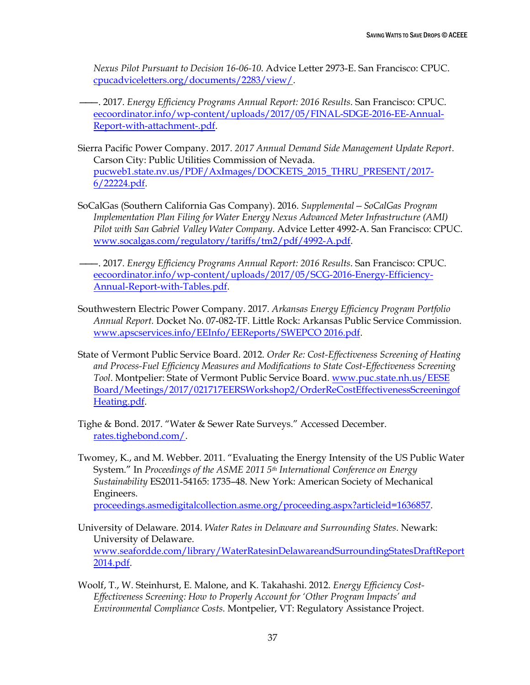*Nexus Pilot Pursuant to Decision 16-06-10*. Advice Letter 2973-E. San Francisco: CPUC. [cpucadviceletters.org/documents/2283/view/.](https://cpucadviceletters.org/documents/2283/view/)

- ———. 2017. *Energy Efficiency Programs Annual Report: 2016 Results*. San Francisco: CPUC. [eecoordinator.info/wp-content/uploads/2017/05/FINAL-SDGE-2016-EE-Annual-](http://eecoordinator.info/wp-content/uploads/2017/05/FINAL-SDGE-2016-EE-Annual-Report-with-attachment-.pdf)[Report-with-attachment-.pdf.](http://eecoordinator.info/wp-content/uploads/2017/05/FINAL-SDGE-2016-EE-Annual-Report-with-attachment-.pdf)
- Sierra Pacific Power Company. 2017. *2017 Annual Demand Side Management Update Report*. Carson City: Public Utilities Commission of Nevada. [pucweb1.state.nv.us/PDF/AxImages/DOCKETS\\_2015\\_THRU\\_PRESENT/2017-](http://pucweb1.state.nv.us/PDF/AxImages/DOCKETS_2015_THRU_PRESENT/2017-6/22224.pdf) [6/22224.pdf.](http://pucweb1.state.nv.us/PDF/AxImages/DOCKETS_2015_THRU_PRESENT/2017-6/22224.pdf)
- SoCalGas (Southern California Gas Company). 2016. *Supplemental—SoCalGas Program Implementation Plan Filing for Water Energy Nexus Advanced Meter Infrastructure (AMI) Pilot with San Gabriel Valley Water Company*. Advice Letter 4992-A. San Francisco: CPUC. [www.socalgas.com/regulatory/tariffs/tm2/pdf/4992-A.pdf.](https://www.socalgas.com/regulatory/tariffs/tm2/pdf/4992-A.pdf)
- ———. 2017. *Energy Efficiency Programs Annual Report: 2016 Results*. San Francisco: CPUC. [eecoordinator.info/wp-content/uploads/2017/05/SCG-2016-Energy-Efficiency-](http://eecoordinator.info/wp-content/uploads/2017/05/SCG-2016-Energy-Efficiency-Annual-Report-with-Tables.pdf)[Annual-Report-with-Tables.pdf.](http://eecoordinator.info/wp-content/uploads/2017/05/SCG-2016-Energy-Efficiency-Annual-Report-with-Tables.pdf)
- Southwestern Electric Power Company. 2017. *Arkansas Energy Efficiency Program Portfolio Annual Report.* Docket No. 07-082-TF. Little Rock: Arkansas Public Service Commission. [www.apscservices.info/EEInfo/EEReports/SWEPCO 2016.pdf.](http://www.apscservices.info/EEInfo/EEReports/SWEPCO%202016.pdf)
- State of Vermont Public Service Board. 2012. *Order Re: Cost-Effectiveness Screening of Heating and Process-Fuel Efficiency Measures and Modifications to State Cost-Effectiveness Screening Tool*. Montpelier: State of Vermont Public Service Board. [www.puc.state.nh.us/EESE](http://www.puc.state.nh.us/EESE%20Board/Meetings/2017/021717EERSWorkshop2/OrderReCostEffectivenessScreeningofHeating.pdf)  [Board/Meetings/2017/021717EERSWorkshop2/OrderReCostEffectivenessScreeningof](http://www.puc.state.nh.us/EESE%20Board/Meetings/2017/021717EERSWorkshop2/OrderReCostEffectivenessScreeningofHeating.pdf) [Heating.pdf.](http://www.puc.state.nh.us/EESE%20Board/Meetings/2017/021717EERSWorkshop2/OrderReCostEffectivenessScreeningofHeating.pdf)
- Tighe & Bond. 2017. "Water & Sewer Rate Surveys." Accessed December. [rates.tighebond.com/.](http://rates.tighebond.com/)
- Twomey, K., and M. Webber. 2011. "Evaluating the Energy Intensity of the US Public Water System." In *Proceedings of the ASME 2011 5th International Conference on Energy Sustainability* ES2011-54165: 1735–48. New York: American Society of Mechanical Engineers.

[proceedings.asmedigitalcollection.asme.org/proceeding.aspx?articleid=1636857.](http://proceedings.asmedigitalcollection.asme.org/proceeding.aspx?articleid=1636857)

- University of Delaware. 2014. *Water Rates in Delaware and Surrounding States*. Newark: University of Delaware. [www.seafordde.com/library/WaterRatesinDelawareandSurroundingStatesDraftReport](http://www.seafordde.com/library/WaterRatesinDelawareandSurroundingStatesDraftReport2014.pdf) [2014.pdf.](http://www.seafordde.com/library/WaterRatesinDelawareandSurroundingStatesDraftReport2014.pdf)
- Woolf, T., W. Steinhurst, E. Malone, and K. Takahashi. 2012. *Energy Efficiency Cost-Effectiveness Screening: How to Properly Account for 'Other Program Impacts' and Environmental Compliance Costs.* Montpelier, VT: Regulatory Assistance Project.